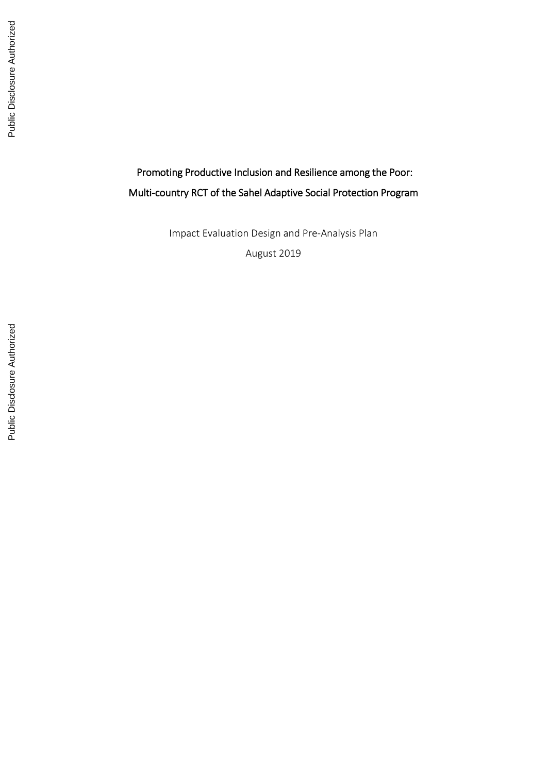# Promoting Productive Inclusion and Resilience among the Poor: Multi -country RCT of the Sahel Adaptive Social Protection Program

Impact Evaluation Design and Pre -Analysis Plan

August 2019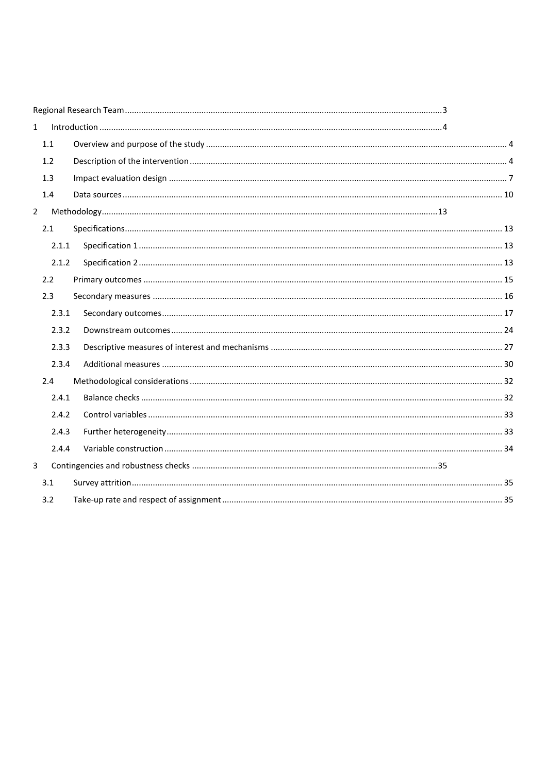| $\mathbf{1}$ |       |  |  |  |  |
|--------------|-------|--|--|--|--|
|              | 1.1   |  |  |  |  |
|              | 1.2   |  |  |  |  |
|              | 1.3   |  |  |  |  |
|              | 1.4   |  |  |  |  |
| $2^{\circ}$  |       |  |  |  |  |
|              | 2.1   |  |  |  |  |
|              | 2.1.1 |  |  |  |  |
|              | 2.1.2 |  |  |  |  |
|              | 2.2   |  |  |  |  |
|              | 2.3   |  |  |  |  |
|              | 2.3.1 |  |  |  |  |
|              | 2.3.2 |  |  |  |  |
|              | 2.3.3 |  |  |  |  |
|              | 2.3.4 |  |  |  |  |
|              | 2.4   |  |  |  |  |
|              | 2.4.1 |  |  |  |  |
|              | 2.4.2 |  |  |  |  |
|              | 2.4.3 |  |  |  |  |
|              | 2.4.4 |  |  |  |  |
| 3            |       |  |  |  |  |
|              | 3.1   |  |  |  |  |
|              | 3.2   |  |  |  |  |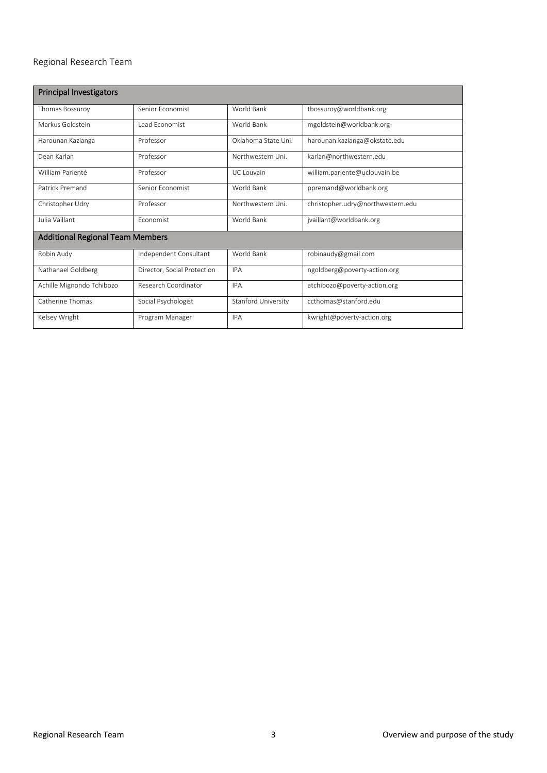# <span id="page-2-0"></span>Regional Research Team

| <b>Principal Investigators</b>          |                             |                     |                                   |  |  |
|-----------------------------------------|-----------------------------|---------------------|-----------------------------------|--|--|
| Thomas Bossuroy                         | Senior Fconomist            | World Bank          | tbossuroy@worldbank.org           |  |  |
| Markus Goldstein                        | Lead Economist              | World Bank          | mgoldstein@worldbank.org          |  |  |
| Harounan Kazianga                       | Professor                   | Oklahoma State Uni. | harounan.kazianga@okstate.edu     |  |  |
| Dean Karlan                             | Professor                   | Northwestern Uni.   | karlan@northwestern.edu           |  |  |
| William Parienté                        | Professor                   | <b>UC</b> Louvain   | william.pariente@uclouvain.be     |  |  |
| Patrick Premand                         | Senior Fconomist            | World Bank          | ppremand@worldbank.org            |  |  |
| Christopher Udry                        | Professor                   | Northwestern Uni.   | christopher.udry@northwestern.edu |  |  |
| Julia Vaillant                          | Fconomist                   | World Bank          | jvaillant@worldbank.org           |  |  |
| <b>Additional Regional Team Members</b> |                             |                     |                                   |  |  |
| Robin Audy                              | Independent Consultant      | World Bank          | robinaudy@gmail.com               |  |  |
| Nathanael Goldberg                      | Director, Social Protection | <b>IPA</b>          | ngoldberg@poverty-action.org      |  |  |
| Achille Mignondo Tchibozo               | Research Coordinator        | <b>IPA</b>          | atchibozo@poverty-action.org      |  |  |
| Catherine Thomas                        | Social Psychologist         | Stanford University | ccthomas@stanford.edu             |  |  |
| Kelsey Wright                           | Program Manager             | <b>IPA</b>          | kwright@poverty-action.org        |  |  |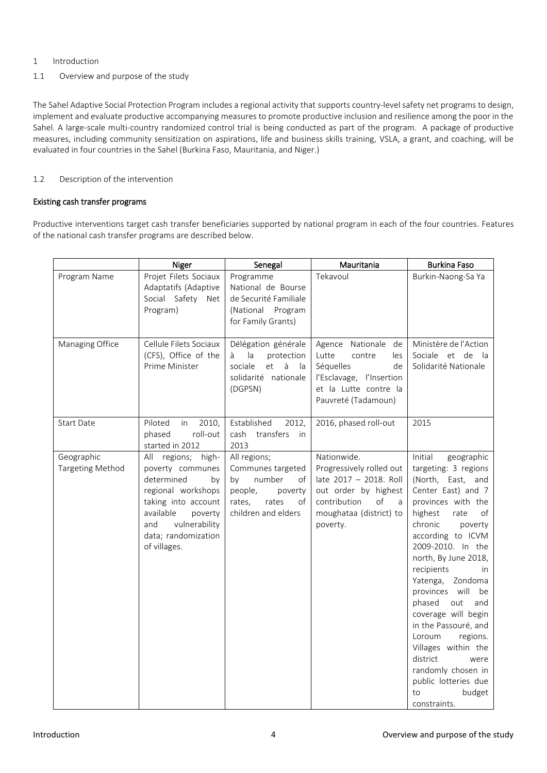# <span id="page-3-0"></span>1 Introduction

<span id="page-3-1"></span>1.1 Overview and purpose of the study

The Sahel Adaptive Social Protection Program includes a regional activity that supports country-level safety net programs to design, implement and evaluate productive accompanying measures to promote productive inclusion and resilience among the poor in the Sahel. A large-scale multi-country randomized control trial is being conducted as part of the program. A package of productive measures, including community sensitization on aspirations, life and business skills training, VSLA, a grant, and coaching, will be evaluated in four countries in the Sahel (Burkina Faso, Mauritania, and Niger.)

# <span id="page-3-2"></span>1.2 Description of the intervention

#### Existing cash transfer programs

Productive interventions target cash transfer beneficiaries supported by national program in each of the four countries. Features of the national cash transfer programs are described below.

|                                       | Niger                                                                                                                                                                                          | Senegal                                                                                                                       | Mauritania                                                                                                                                                  | <b>Burkina Faso</b>                                                                                                                                                                                                                                                                                                                                                                                                                                                                                                      |
|---------------------------------------|------------------------------------------------------------------------------------------------------------------------------------------------------------------------------------------------|-------------------------------------------------------------------------------------------------------------------------------|-------------------------------------------------------------------------------------------------------------------------------------------------------------|--------------------------------------------------------------------------------------------------------------------------------------------------------------------------------------------------------------------------------------------------------------------------------------------------------------------------------------------------------------------------------------------------------------------------------------------------------------------------------------------------------------------------|
| Program Name                          | Projet Filets Sociaux<br>Adaptatifs (Adaptive<br>Social Safety Net<br>Program)                                                                                                                 | Programme<br>National de Bourse<br>de Securité Familiale<br>(National Program<br>for Family Grants)                           | Tekavoul                                                                                                                                                    | Burkin-Naong-Sa Ya                                                                                                                                                                                                                                                                                                                                                                                                                                                                                                       |
| Managing Office                       | Cellule Filets Sociaux<br>(CFS), Office of the<br>Prime Minister                                                                                                                               | Délégation générale<br>protection<br>à<br>la<br>sociale<br>et<br>à<br>la<br>solidarité nationale<br>(DGPSN)                   | Agence Nationale<br>de<br>Lutte<br>contre<br>les<br>Séquelles<br>de<br>l'Esclavage, l'Insertion<br>et la Lutte contre la<br>Pauvreté (Tadamoun)             | Ministère de l'Action<br>Sociale et de<br>- la<br>Solidarité Nationale                                                                                                                                                                                                                                                                                                                                                                                                                                                   |
| <b>Start Date</b>                     | Piloted<br>in<br>2010,<br>phased<br>roll-out<br>started in 2012                                                                                                                                | Established<br>2012,<br>cash<br>transfers<br>in<br>2013                                                                       | 2016, phased roll-out                                                                                                                                       | 2015                                                                                                                                                                                                                                                                                                                                                                                                                                                                                                                     |
| Geographic<br><b>Targeting Method</b> | All regions; high-<br>poverty communes<br>determined<br>by<br>regional workshops<br>taking into account<br>available<br>poverty<br>vulnerability<br>and<br>data; randomization<br>of villages. | All regions;<br>Communes targeted<br>number<br>by<br>of<br>people,<br>poverty<br>rates,<br>rates<br>of<br>children and elders | Nationwide.<br>Progressively rolled out<br>late 2017 - 2018. Roll<br>out order by highest<br>contribution<br>of<br>a<br>moughataa (district) to<br>poverty. | Initial<br>geographic<br>targeting: 3 regions<br>(North, East, and<br>Center East) and 7<br>provinces with the<br>highest<br>rate<br>of<br>chronic<br>poverty<br>according to ICVM<br>2009-2010. In the<br>north, By June 2018,<br>recipients<br>in<br>Zondoma<br>Yatenga,<br>provinces will<br>be<br>phased<br>out<br>and<br>coverage will begin<br>in the Passouré, and<br>Loroum<br>regions.<br>Villages within the<br>district<br>were<br>randomly chosen in<br>public lotteries due<br>to<br>budget<br>constraints. |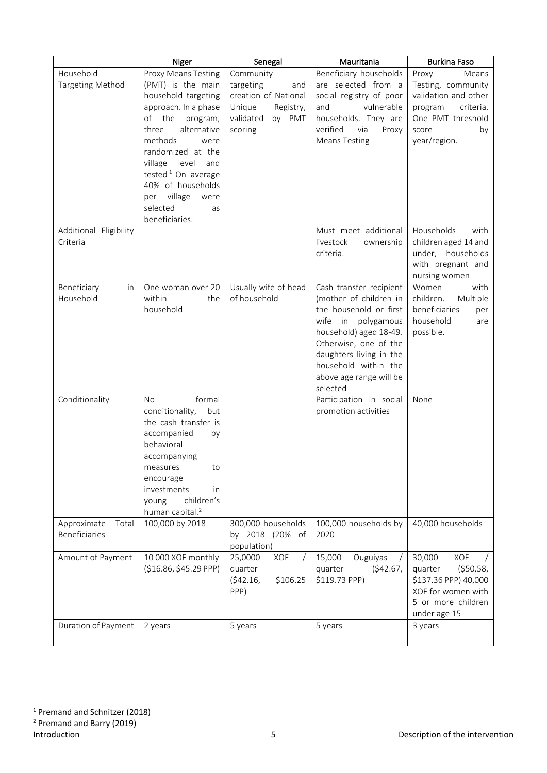|                                       | Niger                                                                                                                                                                                                                                                                                                                         | Senegal                                                                                                        | Mauritania                                                                                                                                                                                                                                     | <b>Burkina Faso</b>                                                                                                                      |
|---------------------------------------|-------------------------------------------------------------------------------------------------------------------------------------------------------------------------------------------------------------------------------------------------------------------------------------------------------------------------------|----------------------------------------------------------------------------------------------------------------|------------------------------------------------------------------------------------------------------------------------------------------------------------------------------------------------------------------------------------------------|------------------------------------------------------------------------------------------------------------------------------------------|
| Household<br><b>Targeting Method</b>  | Proxy Means Testing<br>(PMT) is the main<br>household targeting<br>approach. In a phase<br>the<br>of<br>program,<br>three<br>alternative<br>methods<br>were<br>randomized at the<br>village<br>level<br>and<br>tested <sup>1</sup> On average<br>40% of households<br>per village<br>were<br>selected<br>as<br>beneficiaries. | Community<br>targeting<br>and<br>creation of National<br>Unique<br>Registry,<br>validated<br>by PMT<br>scoring | Beneficiary households<br>are selected from a<br>social registry of poor<br>vulnerable<br>and<br>households. They are<br>verified<br>via<br>Proxy<br><b>Means Testing</b>                                                                      | Proxy<br>Means<br>Testing, community<br>validation and other<br>program<br>criteria.<br>One PMT threshold<br>score<br>by<br>year/region. |
| Additional Eligibility<br>Criteria    |                                                                                                                                                                                                                                                                                                                               |                                                                                                                | Must meet additional<br>livestock<br>ownership<br>criteria.                                                                                                                                                                                    | Households<br>with<br>children aged 14 and<br>under, households<br>with pregnant and<br>nursing women                                    |
| Beneficiary<br>in<br>Household        | One woman over 20<br>within<br>the<br>household                                                                                                                                                                                                                                                                               | Usually wife of head<br>of household                                                                           | Cash transfer recipient<br>(mother of children in<br>the household or first<br>wife in polygamous<br>household) aged 18-49.<br>Otherwise, one of the<br>daughters living in the<br>household within the<br>above age range will be<br>selected | Women<br>with<br>children.<br>Multiple<br>beneficiaries<br>per<br>household<br>are<br>possible.                                          |
| Conditionality                        | formal<br>No<br>conditionality,<br>but<br>the cash transfer is<br>accompanied<br>by<br>behavioral<br>accompanying<br>measures<br>to<br>encourage<br>investments<br>in<br>children's<br>young<br>human capital. <sup>2</sup>                                                                                                   |                                                                                                                | Participation in social<br>promotion activities                                                                                                                                                                                                | None                                                                                                                                     |
| Approximate<br>Total<br>Beneficiaries | 100,000 by 2018                                                                                                                                                                                                                                                                                                               | 300,000 households<br>by 2018 (20% of<br>population)                                                           | 100,000 households by<br>2020                                                                                                                                                                                                                  | 40,000 households                                                                                                                        |
| Amount of Payment                     | 10 000 XOF monthly<br>(\$16.86, \$45.29 PPP)                                                                                                                                                                                                                                                                                  | XOF<br>25,0000<br>$\sqrt{ }$<br>quarter<br>(542.16,<br>\$106.25<br>PPP)                                        | 15,000<br>Ouguiyas<br>quarter<br>(\$42.67,<br>\$119.73 PPP)                                                                                                                                                                                    | 30,000<br>XOF<br>( \$50.58,<br>quarter<br>\$137.36 PPP) 40,000<br>XOF for women with<br>5 or more children<br>under age 15               |
| Duration of Payment                   | 2 years                                                                                                                                                                                                                                                                                                                       | 5 years                                                                                                        | 5 years                                                                                                                                                                                                                                        | 3 years                                                                                                                                  |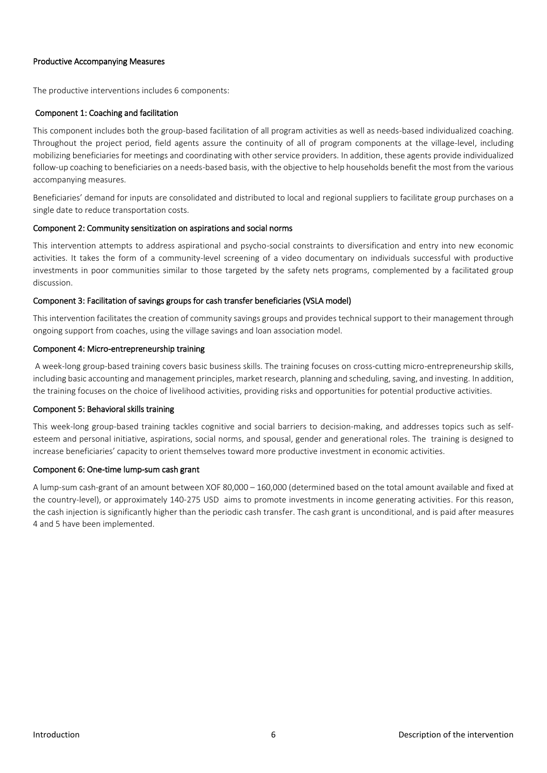#### Productive Accompanying Measures

The productive interventions includes 6 components:

#### Component 1: Coaching and facilitation

This component includes both the group-based facilitation of all program activities as well as needs-based individualized coaching. Throughout the project period, field agents assure the continuity of all of program components at the village-level, including mobilizing beneficiaries for meetings and coordinating with other service providers. In addition, these agents provide individualized follow-up coaching to beneficiaries on a needs-based basis, with the objective to help households benefit the most from the various accompanying measures.

Beneficiaries' demand for inputs are consolidated and distributed to local and regional suppliers to facilitate group purchases on a single date to reduce transportation costs.

#### Component 2: Community sensitization on aspirations and social norms

This intervention attempts to address aspirational and psycho-social constraints to diversification and entry into new economic activities. It takes the form of a community-level screening of a video documentary on individuals successful with productive investments in poor communities similar to those targeted by the safety nets programs, complemented by a facilitated group discussion.

#### Component 3: Facilitation of savings groups for cash transfer beneficiaries (VSLA model)

This intervention facilitates the creation of community savings groups and provides technical support to their management through ongoing support from coaches, using the village savings and loan association model.

#### Component 4: Micro-entrepreneurship training

A week-long group-based training covers basic business skills. The training focuses on cross-cutting micro-entrepreneurship skills, including basic accounting and management principles, market research, planning and scheduling, saving, and investing. In addition, the training focuses on the choice of livelihood activities, providing risks and opportunities for potential productive activities.

#### Component 5: Behavioral skills training

This week-long group-based training tackles cognitive and social barriers to decision-making, and addresses topics such as selfesteem and personal initiative, aspirations, social norms, and spousal, gender and generational roles. The training is designed to increase beneficiaries' capacity to orient themselves toward more productive investment in economic activities.

#### Component 6: One-time lump-sum cash grant

A lump-sum cash-grant of an amount between XOF 80,000 – 160,000 (determined based on the total amount available and fixed at the country-level), or approximately 140-275 USD aims to promote investments in income generating activities. For this reason, the cash injection is significantly higher than the periodic cash transfer. The cash grant is unconditional, and is paid after measures 4 and 5 have been implemented.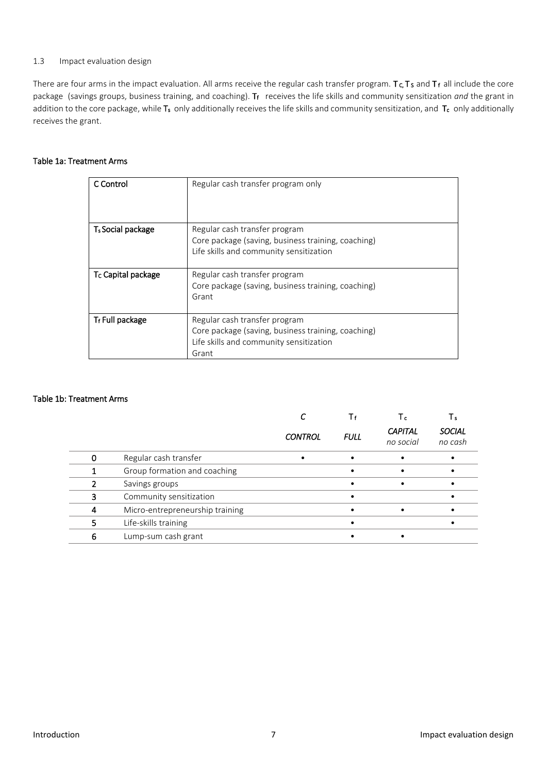#### <span id="page-6-0"></span>1.3 Impact evaluation design

There are four arms in the impact evaluation. All arms receive the regular cash transfer program.  $T_c$ ,  $T_s$  and  $T_f$  all include the core package (savings groups, business training, and coaching). T<sub>f</sub> receives the life skills and community sensitization *and* the grant in addition to the core package, while T<sub>s</sub> only additionally receives the life skills and community sensitization, and T<sub>c</sub> only additionally receives the grant.

# Table 1a: Treatment Arms

| C Control                      | Regular cash transfer program only                 |
|--------------------------------|----------------------------------------------------|
| T <sub>s</sub> Social package  | Regular cash transfer program                      |
|                                | Core package (saving, business training, coaching) |
|                                | Life skills and community sensitization            |
| T <sub>c</sub> Capital package | Regular cash transfer program                      |
|                                | Core package (saving, business training, coaching) |
|                                | Grant                                              |
|                                |                                                    |
| T <sub>f</sub> Full package    | Regular cash transfer program                      |
|                                | Core package (saving, business training, coaching) |
|                                | Life skills and community sensitization            |
|                                | Grant                                              |

#### Table 1b: Treatment Arms

|   |                                 |                |             | Ιc                          | Ιs                       |
|---|---------------------------------|----------------|-------------|-----------------------------|--------------------------|
|   |                                 | <b>CONTROL</b> | <b>FULL</b> | <b>CAPITAL</b><br>no social | <b>SOCIAL</b><br>no cash |
|   | Regular cash transfer           |                |             |                             |                          |
|   | Group formation and coaching    |                |             |                             |                          |
|   | Savings groups                  |                |             |                             |                          |
|   | Community sensitization         |                |             |                             |                          |
|   | Micro-entrepreneurship training |                |             |                             |                          |
|   | Life-skills training            |                |             |                             |                          |
| 6 | Lump-sum cash grant             |                |             |                             |                          |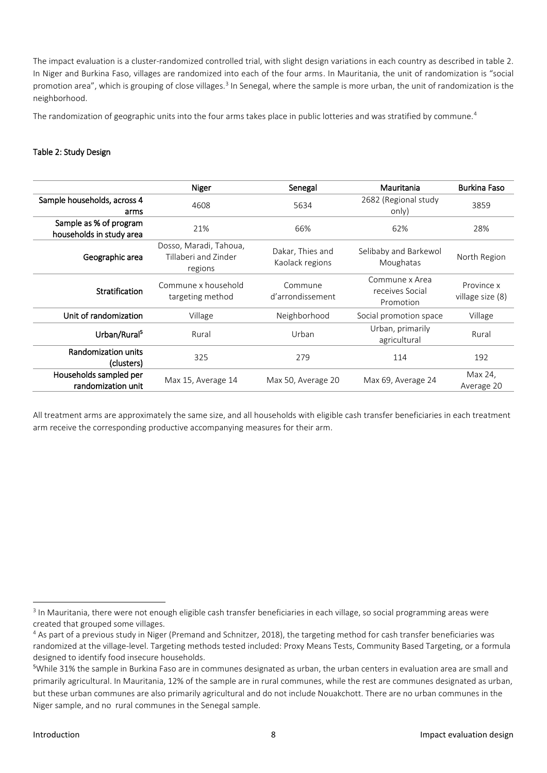The impact evaluation is a cluster-randomized controlled trial, with slight design variations in each country as described in table 2. In Niger and Burkina Faso, villages are randomized into each of the four arms. In Mauritania, the unit of randomization is "social promotion area", which is grouping of close villages.<sup>3</sup> In Senegal, where the sample is more urban, the unit of randomization is the neighborhood.

The randomization of geographic units into the four arms takes place in public lotteries and was stratified by commune.<sup>4</sup>

# Table 2: Study Design

|                                                                                          | Niger                                                     | Senegal                             | Mauritania                                     | Burkina Faso                   |
|------------------------------------------------------------------------------------------|-----------------------------------------------------------|-------------------------------------|------------------------------------------------|--------------------------------|
| Sample households, across 4<br>arms                                                      | 4608                                                      | 5634                                | 2682 (Regional study<br>only)                  | 3859                           |
| Sample as % of program<br>21%<br>households in study area                                |                                                           | 66%<br>62%                          |                                                | 28%                            |
| Geographic area                                                                          | Dosso, Maradi, Tahoua,<br>Tillaberi and Zinder<br>regions | Dakar, Thies and<br>Kaolack regions | Selibaby and Barkewol<br>Moughatas             | North Region                   |
| <b>Stratification</b>                                                                    | Commune x household<br>targeting method                   | Commune<br>d'arrondissement         | Commune x Area<br>receives Social<br>Promotion | Province x<br>village size (8) |
| Unit of randomization                                                                    | Village                                                   | Neighborhood                        | Social promotion space                         | Village                        |
| Urban/Rural <sup>5</sup>                                                                 | Rural                                                     | Urban                               | Urban, primarily<br>agricultural               | Rural                          |
| Randomization units<br>(clusters)                                                        | 325                                                       | 279                                 | 114                                            | 192                            |
| Households sampled per<br>Max 15, Average 14<br>Max 50, Average 20<br>randomization unit |                                                           | Max 69, Average 24                  | Max 24,<br>Average 20                          |                                |

All treatment arms are approximately the same size, and all households with eligible cash transfer beneficiaries in each treatment arm receive the corresponding productive accompanying measures for their arm.

**.** 

<sup>&</sup>lt;sup>3</sup> In Mauritania, there were not enough eligible cash transfer beneficiaries in each village, so social programming areas were created that grouped some villages.

<sup>4</sup> As part of a previous study in Niger (Premand and Schnitzer, 2018), the targeting method for cash transfer beneficiaries was randomized at the village-level. Targeting methods tested included: Proxy Means Tests, Community Based Targeting, or a formula designed to identify food insecure households.

<sup>5</sup>While 31% the sample in Burkina Faso are in communes designated as urban, the urban centers in evaluation area are small and primarily agricultural. In Mauritania, 12% of the sample are in rural communes, while the rest are communes designated as urban, but these urban communes are also primarily agricultural and do not include Nouakchott. There are no urban communes in the Niger sample, and no rural communes in the Senegal sample.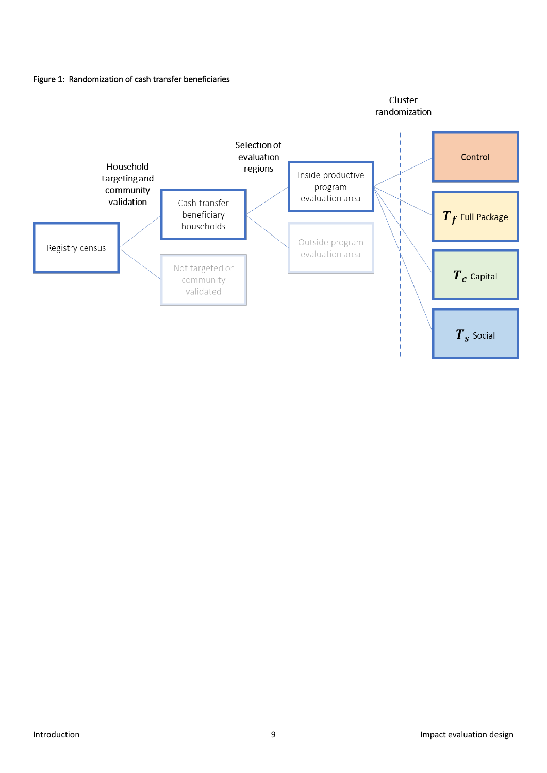

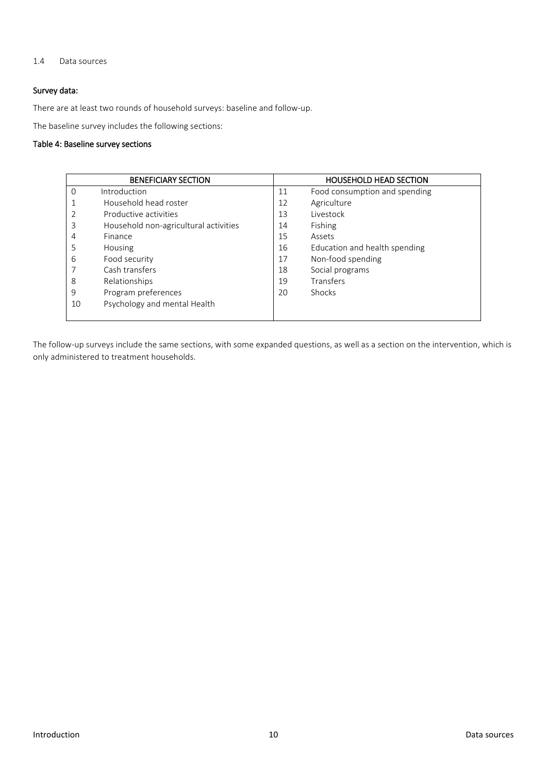#### <span id="page-9-0"></span>1.4 Data sources

# Survey data:

There are at least two rounds of household surveys: baseline and follow-up.

The baseline survey includes the following sections:

#### Table 4: Baseline survey sections

|                | <b>BENEFICIARY SECTION</b>            |    | <b>HOUSEHOLD HEAD SECTION</b> |
|----------------|---------------------------------------|----|-------------------------------|
| 0              | Introduction                          | 11 | Food consumption and spending |
|                | Household head roster                 | 12 | Agriculture                   |
|                | Productive activities                 | 13 | Livestock                     |
| 3              | Household non-agricultural activities | 14 | Fishing                       |
| $\overline{4}$ | Finance                               | 15 | Assets                        |
| 5              | Housing                               | 16 | Education and health spending |
| 6              | Food security                         | 17 | Non-food spending             |
|                | Cash transfers                        | 18 | Social programs               |
| 8              | Relationships                         | 19 | Transfers                     |
| 9              | Program preferences                   | 20 | <b>Shocks</b>                 |
| 10             | Psychology and mental Health          |    |                               |
|                |                                       |    |                               |

The follow-up surveys include the same sections, with some expanded questions, as well as a section on the intervention, which is only administered to treatment households.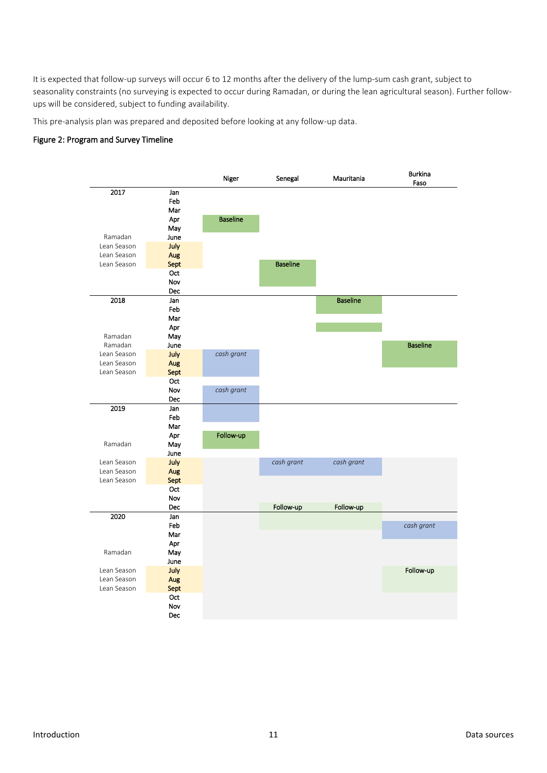It is expected that follow-up surveys will occur 6 to 12 months after the delivery of the lump-sum cash grant, subject to seasonality constraints (no surveying is expected to occur during Ramadan, or during the lean agricultural season). Further followups will be considered, subject to funding availability.

This pre-analysis plan was prepared and deposited before looking at any follow-up data.

# Figure 2: Program and Survey Timeline

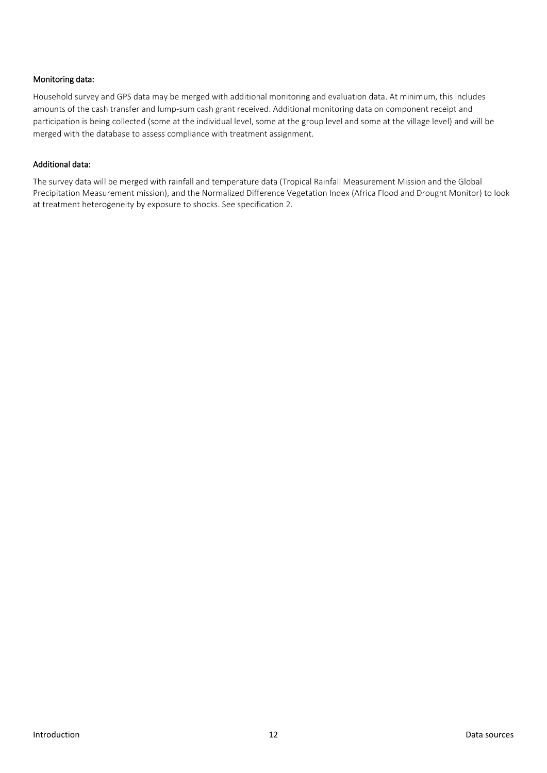# Monitoring data:

Household survey and GPS data may be merged with additional monitoring and evaluation data. At minimum, this includes amounts of the cash transfer and lump-sum cash grant received. Additional monitoring data on component receipt and participation is being collected (some at the individual level, some at the group level and some at the village level) and will be merged with the database to assess compliance with treatment assignment.

#### Additional data:

The survey data will be merged with rainfall and temperature data (Tropical Rainfall Measurement Mission and the Global Precipitation Measurement mission), and the Normalized Difference Vegetation Index (Africa Flood and Drought Monitor) to look at treatment heterogeneity by exposure to shocks. See specification 2.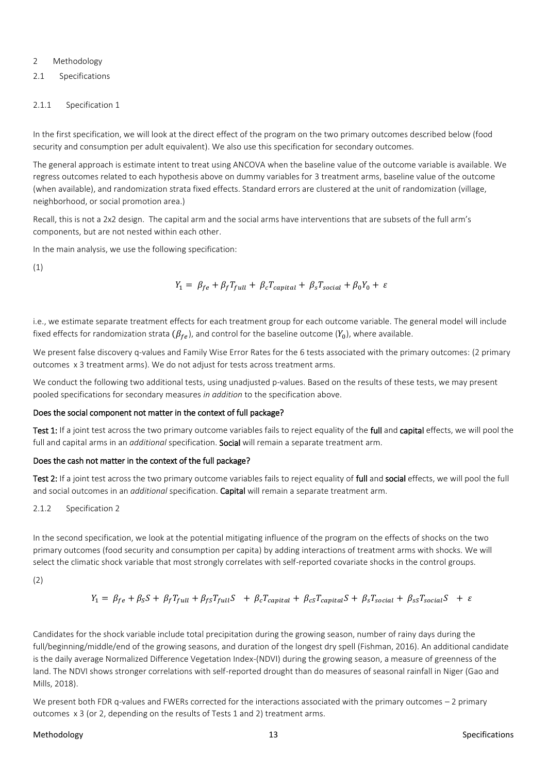#### <span id="page-12-0"></span>2 Methodology

<span id="page-12-1"></span>2.1 Specifications

#### <span id="page-12-2"></span>2.1.1 Specification 1

In the first specification, we will look at the direct effect of the program on the two primary outcomes described below (food security and consumption per adult equivalent). We also use this specification for secondary outcomes.

The general approach is estimate intent to treat using ANCOVA when the baseline value of the outcome variable is available. We regress outcomes related to each hypothesis above on dummy variables for 3 treatment arms, baseline value of the outcome (when available), and randomization strata fixed effects. Standard errors are clustered at the unit of randomization (village, neighborhood, or social promotion area.)

Recall, this is not a 2x2 design. The capital arm and the social arms have interventions that are subsets of the full arm's components, but are not nested within each other.

In the main analysis, we use the following specification:

(1)

$$
Y_1 = \beta_{fe} + \beta_f T_{full} + \beta_c T_{capital} + \beta_s T_{social} + \beta_0 Y_0 + \varepsilon
$$

i.e., we estimate separate treatment effects for each treatment group for each outcome variable. The general model will include fixed effects for randomization strata  $(\beta_{fe})$ , and control for the baseline outcome ( $Y_0$ ), where available.

We present false discovery q-values and Family Wise Error Rates for the 6 tests associated with the primary outcomes: (2 primary outcomes x 3 treatment arms). We do not adjust for tests across treatment arms.

We conduct the following two additional tests, using unadjusted p-values. Based on the results of these tests, we may present pooled specifications for secondary measures *in addition* to the specification above.

#### Does the social component not matter in the context of full package?

Test 1: If a joint test across the two primary outcome variables fails to reject equality of the full and capital effects, we will pool the full and capital arms in an *additional* specification. Social will remain a separate treatment arm.

#### Does the cash not matter in the context of the full package?

Test 2: If a joint test across the two primary outcome variables fails to reject equality of full and social effects, we will pool the full and social outcomes in an *additional* specification. Capital will remain a separate treatment arm.

#### <span id="page-12-3"></span>2.1.2 Specification 2

In the second specification, we look at the potential mitigating influence of the program on the effects of shocks on the two primary outcomes (food security and consumption per capita) by adding interactions of treatment arms with shocks. We will select the climatic shock variable that most strongly correlates with self-reported covariate shocks in the control groups.

(2)

$$
Y_1 = \beta_{fe} + \beta_{S}S + \beta_{f}T_{full} + \beta_{fs}T_{full}S + \beta_{c}T_{capital} + \beta_{cs}T_{capital}S + \beta_{s}T_{social} + \beta_{ss}T_{social}S + \varepsilon
$$

Candidates for the shock variable include total precipitation during the growing season, number of rainy days during the full/beginning/middle/end of the growing seasons, and duration of the longest dry spell (Fishman, 2016). An additional candidate is the daily average Normalized Difference Vegetation Index-(NDVI) during the growing season, a measure of greenness of the land. The NDVI shows stronger correlations with self-reported drought than do measures of seasonal rainfall in Niger (Gao and Mills, 2018).

We present both FDR q-values and FWERs corrected for the interactions associated with the primary outcomes – 2 primary outcomes x 3 (or 2, depending on the results of Tests 1 and 2) treatment arms.

#### Methodology 13 Specifications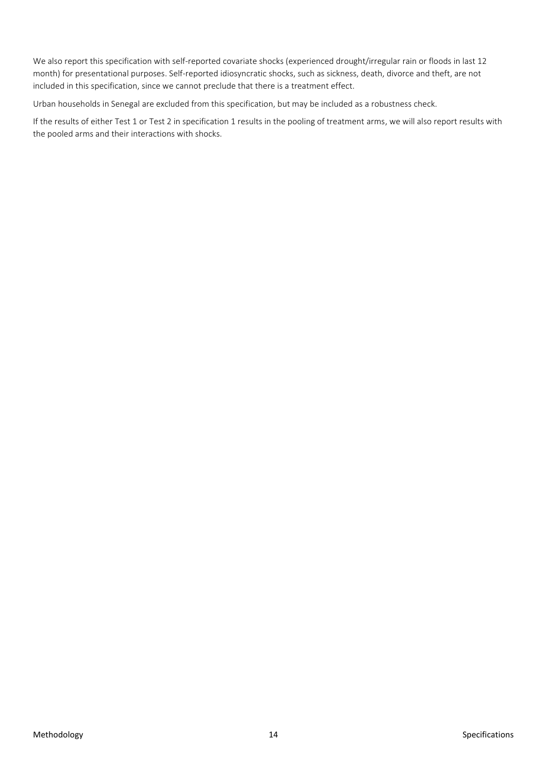We also report this specification with self-reported covariate shocks (experienced drought/irregular rain or floods in last 12 month) for presentational purposes. Self-reported idiosyncratic shocks, such as sickness, death, divorce and theft, are not included in this specification, since we cannot preclude that there is a treatment effect.

Urban households in Senegal are excluded from this specification, but may be included as a robustness check.

If the results of either Test 1 or Test 2 in specification 1 results in the pooling of treatment arms, we will also report results with the pooled arms and their interactions with shocks.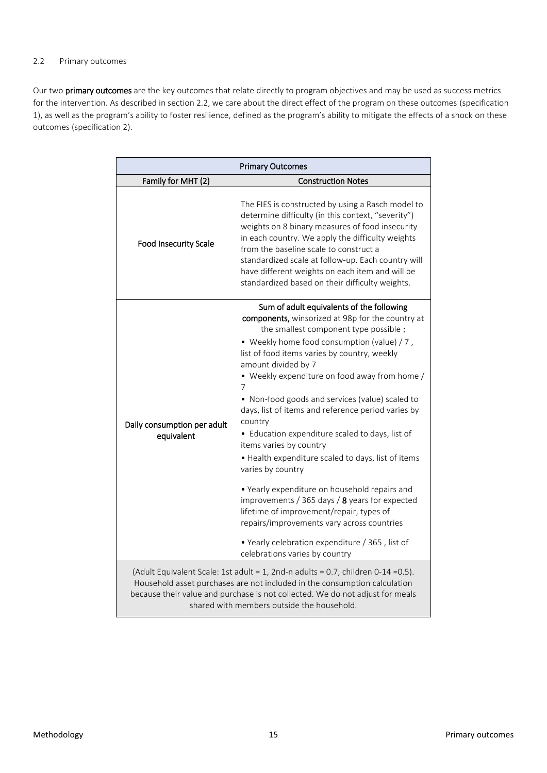#### <span id="page-14-0"></span>2.2 Primary outcomes

Our two primary outcomes are the key outcomes that relate directly to program objectives and may be used as success metrics for the intervention. As described in section 2.2, we care about the direct effect of the program on these outcomes (specification 1), as well as the program's ability to foster resilience, defined as the program's ability to mitigate the effects of a shock on these outcomes (specification 2).

|                                                                                                                                                                                                                                                                                               | <b>Primary Outcomes</b>                                                                                                                                                                                                                                                                                                                                                                                                                                                                                                                                                                          |
|-----------------------------------------------------------------------------------------------------------------------------------------------------------------------------------------------------------------------------------------------------------------------------------------------|--------------------------------------------------------------------------------------------------------------------------------------------------------------------------------------------------------------------------------------------------------------------------------------------------------------------------------------------------------------------------------------------------------------------------------------------------------------------------------------------------------------------------------------------------------------------------------------------------|
| Family for MHT (2)                                                                                                                                                                                                                                                                            | <b>Construction Notes</b>                                                                                                                                                                                                                                                                                                                                                                                                                                                                                                                                                                        |
| <b>Food Insecurity Scale</b>                                                                                                                                                                                                                                                                  | The FIES is constructed by using a Rasch model to<br>determine difficulty (in this context, "severity")<br>weights on 8 binary measures of food insecurity<br>in each country. We apply the difficulty weights<br>from the baseline scale to construct a<br>standardized scale at follow-up. Each country will<br>have different weights on each item and will be<br>standardized based on their difficulty weights.                                                                                                                                                                             |
| Daily consumption per adult<br>equivalent                                                                                                                                                                                                                                                     | Sum of adult equivalents of the following<br>components, winsorized at 98p for the country at<br>the smallest component type possible :<br>• Weekly home food consumption (value) / 7,<br>list of food items varies by country, weekly<br>amount divided by 7<br>• Weekly expenditure on food away from home /<br>7<br>• Non-food goods and services (value) scaled to<br>days, list of items and reference period varies by<br>country<br>• Education expenditure scaled to days, list of<br>items varies by country<br>• Health expenditure scaled to days, list of items<br>varies by country |
|                                                                                                                                                                                                                                                                                               | • Yearly expenditure on household repairs and<br>improvements / 365 days / 8 years for expected<br>lifetime of improvement/repair, types of<br>repairs/improvements vary across countries<br>• Yearly celebration expenditure / 365, list of                                                                                                                                                                                                                                                                                                                                                     |
|                                                                                                                                                                                                                                                                                               | celebrations varies by country                                                                                                                                                                                                                                                                                                                                                                                                                                                                                                                                                                   |
| (Adult Equivalent Scale: 1st adult = 1, 2nd-n adults = 0.7, children 0-14 = 0.5).<br>Household asset purchases are not included in the consumption calculation<br>because their value and purchase is not collected. We do not adjust for meals<br>shared with members outside the household. |                                                                                                                                                                                                                                                                                                                                                                                                                                                                                                                                                                                                  |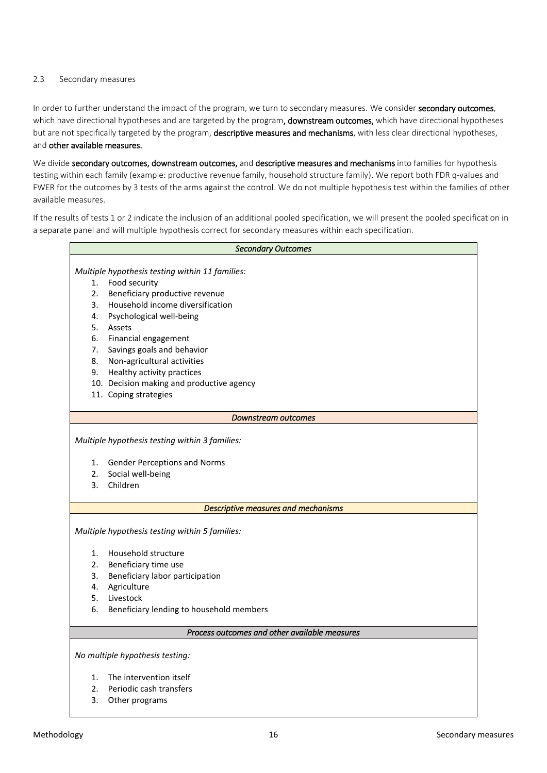#### <span id="page-15-0"></span>2.3 Secondary measures

In order to further understand the impact of the program, we turn to secondary measures. We consider secondary outcomes, which have directional hypotheses and are targeted by the program, downstream outcomes, which have directional hypotheses but are not specifically targeted by the program, descriptive measures and mechanisms, with less clear directional hypotheses, and other available measures.

We divide secondary outcomes, downstream outcomes, and descriptive measures and mechanisms into families for hypothesis testing within each family (example: productive revenue family, household structure family). We report both FDR q-values and FWER for the outcomes by 3 tests of the arms against the control. We do not multiple hypothesis test within the families of other available measures.

If the results of tests 1 or 2 indicate the inclusion of an additional pooled specification, we will present the pooled specification in a separate panel and will multiple hypothesis correct for secondary measures within each specification.

|    | <b>Secondary Outcomes</b>                       |  |  |  |  |
|----|-------------------------------------------------|--|--|--|--|
|    |                                                 |  |  |  |  |
|    | Multiple hypothesis testing within 11 families: |  |  |  |  |
| 1. | Food security                                   |  |  |  |  |
| 2. | Beneficiary productive revenue                  |  |  |  |  |
| 3. | Household income diversification                |  |  |  |  |
| 4. | Psychological well-being                        |  |  |  |  |
| 5. | Assets                                          |  |  |  |  |
| 6. | Financial engagement                            |  |  |  |  |
| 7. | Savings goals and behavior                      |  |  |  |  |
| 8. | Non-agricultural activities                     |  |  |  |  |
| 9. | Healthy activity practices                      |  |  |  |  |
|    | 10. Decision making and productive agency       |  |  |  |  |
|    | 11. Coping strategies                           |  |  |  |  |
|    | Downstream outcomes                             |  |  |  |  |
|    |                                                 |  |  |  |  |
|    | Multiple hypothesis testing within 3 families:  |  |  |  |  |
|    |                                                 |  |  |  |  |
| 1. | <b>Gender Perceptions and Norms</b>             |  |  |  |  |
| 2. | Social well-being                               |  |  |  |  |
| 3. | Children                                        |  |  |  |  |
|    | Descriptive measures and mechanisms             |  |  |  |  |
|    |                                                 |  |  |  |  |
|    | Multiple hypothesis testing within 5 families:  |  |  |  |  |
|    |                                                 |  |  |  |  |
| 1. | Household structure                             |  |  |  |  |
| 2. | Beneficiary time use                            |  |  |  |  |
| 3. | Beneficiary labor participation                 |  |  |  |  |
| 4. | Agriculture                                     |  |  |  |  |
| 5. | Livestock                                       |  |  |  |  |
| 6. | Beneficiary lending to household members        |  |  |  |  |
|    | Process outcomes and other available measures   |  |  |  |  |
|    |                                                 |  |  |  |  |
|    | No multiple hypothesis testing:                 |  |  |  |  |
| 1. | The intervention itself                         |  |  |  |  |
| 2. | Periodic cash transfers                         |  |  |  |  |
| 3. | Other programs                                  |  |  |  |  |
|    |                                                 |  |  |  |  |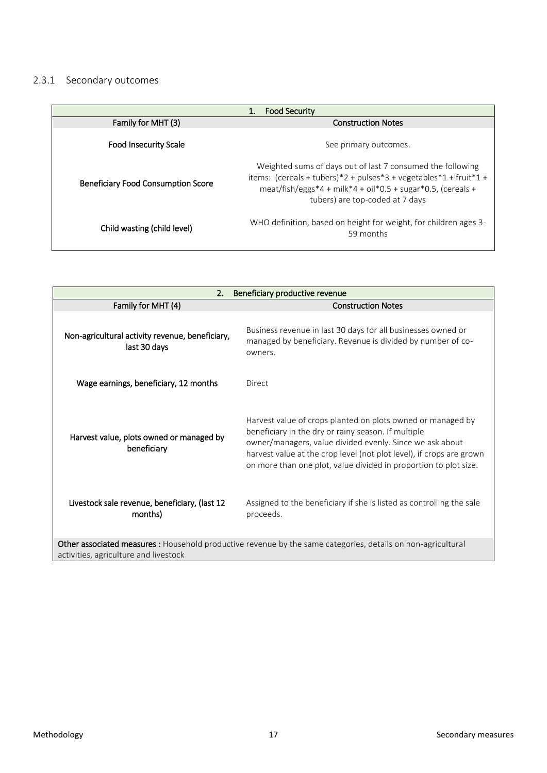# <span id="page-16-0"></span>2.3.1 Secondary outcomes

|                                           | <b>Food Security</b>                                                                                                                                                                                                               |
|-------------------------------------------|------------------------------------------------------------------------------------------------------------------------------------------------------------------------------------------------------------------------------------|
| Family for MHT (3)                        | <b>Construction Notes</b>                                                                                                                                                                                                          |
| <b>Food Insecurity Scale</b>              | See primary outcomes.                                                                                                                                                                                                              |
| <b>Beneficiary Food Consumption Score</b> | Weighted sums of days out of last 7 consumed the following<br>items: $(cereals + tubes)*2 + pulses*3 + vegetables*1 + fruit*1 +$<br>meat/fish/eggs*4 + milk*4 + oil*0.5 + sugar*0.5, (cereals +<br>tubers) are top-coded at 7 days |
| Child wasting (child level)               | WHO definition, based on height for weight, for children ages 3-<br>59 months                                                                                                                                                      |

| 2.<br>Beneficiary productive revenue                                                                                                                  |                                                                                                                                                                                                                                                                                                                            |  |
|-------------------------------------------------------------------------------------------------------------------------------------------------------|----------------------------------------------------------------------------------------------------------------------------------------------------------------------------------------------------------------------------------------------------------------------------------------------------------------------------|--|
| Family for MHT (4)                                                                                                                                    | <b>Construction Notes</b>                                                                                                                                                                                                                                                                                                  |  |
| Non-agricultural activity revenue, beneficiary,<br>last 30 days                                                                                       | Business revenue in last 30 days for all businesses owned or<br>managed by beneficiary. Revenue is divided by number of co-<br>owners.                                                                                                                                                                                     |  |
| Wage earnings, beneficiary, 12 months                                                                                                                 | Direct                                                                                                                                                                                                                                                                                                                     |  |
| Harvest value, plots owned or managed by<br>beneficiary                                                                                               | Harvest value of crops planted on plots owned or managed by<br>beneficiary in the dry or rainy season. If multiple<br>owner/managers, value divided evenly. Since we ask about<br>harvest value at the crop level (not plot level), if crops are grown<br>on more than one plot, value divided in proportion to plot size. |  |
| Livestock sale revenue, beneficiary, (last 12<br>months)                                                                                              | Assigned to the beneficiary if she is listed as controlling the sale<br>proceeds.                                                                                                                                                                                                                                          |  |
| Other associated measures : Household productive revenue by the same categories, details on non-agricultural<br>activities, agriculture and livestock |                                                                                                                                                                                                                                                                                                                            |  |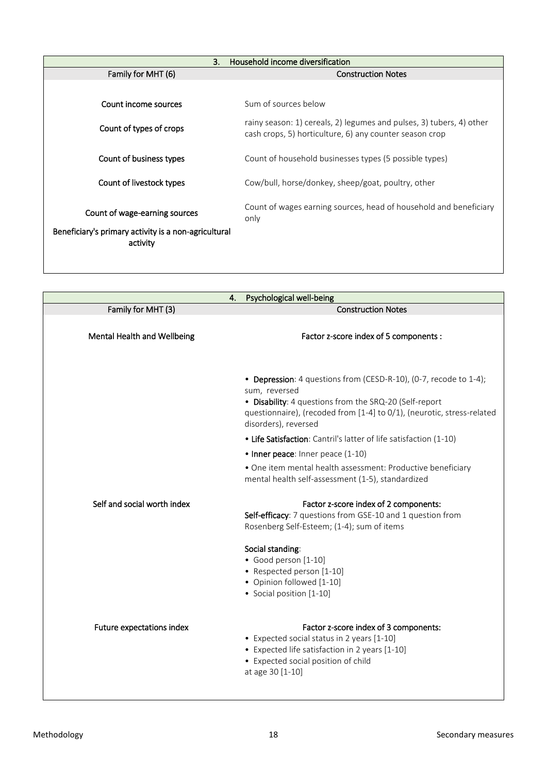| 3.                                                               | Household income diversification                                                                                                |
|------------------------------------------------------------------|---------------------------------------------------------------------------------------------------------------------------------|
| Family for MHT (6)                                               | <b>Construction Notes</b>                                                                                                       |
|                                                                  |                                                                                                                                 |
| Count income sources                                             | Sum of sources below                                                                                                            |
| Count of types of crops                                          | rainy season: 1) cereals, 2) legumes and pulses, 3) tubers, 4) other<br>cash crops, 5) horticulture, 6) any counter season crop |
| Count of business types                                          | Count of household businesses types (5 possible types)                                                                          |
| Count of livestock types                                         | Cow/bull, horse/donkey, sheep/goat, poultry, other                                                                              |
| Count of wage-earning sources                                    | Count of wages earning sources, head of household and beneficiary<br>only                                                       |
| Beneficiary's primary activity is a non-agricultural<br>activity |                                                                                                                                 |

| 4.                          | Psychological well-being                                                                                                                                                                                                                       |
|-----------------------------|------------------------------------------------------------------------------------------------------------------------------------------------------------------------------------------------------------------------------------------------|
| Family for MHT (3)          | <b>Construction Notes</b>                                                                                                                                                                                                                      |
| Mental Health and Wellbeing | Factor z-score index of 5 components :                                                                                                                                                                                                         |
|                             | • Depression: 4 questions from (CESD-R-10), (0-7, recode to 1-4);<br>sum, reversed<br>• Disability: 4 questions from the SRQ-20 (Self-report<br>questionnaire), (recoded from [1-4] to 0/1), (neurotic, stress-related<br>disorders), reversed |
|                             | • Life Satisfaction: Cantril's latter of life satisfaction (1-10)                                                                                                                                                                              |
|                             | • Inner peace: Inner peace (1-10)                                                                                                                                                                                                              |
|                             | • One item mental health assessment: Productive beneficiary<br>mental health self-assessment (1-5), standardized                                                                                                                               |
| Self and social worth index | Factor z-score index of 2 components:<br>Self-efficacy: 7 questions from GSE-10 and 1 question from<br>Rosenberg Self-Esteem; (1-4); sum of items                                                                                              |
|                             | Social standing:<br>· Good person [1-10]<br>• Respected person [1-10]<br>• Opinion followed [1-10]<br>• Social position [1-10]                                                                                                                 |
| Future expectations index   | Factor z-score index of 3 components:<br>• Expected social status in 2 years [1-10]<br>• Expected life satisfaction in 2 years [1-10]<br>• Expected social position of child<br>at age 30 [1-10]                                               |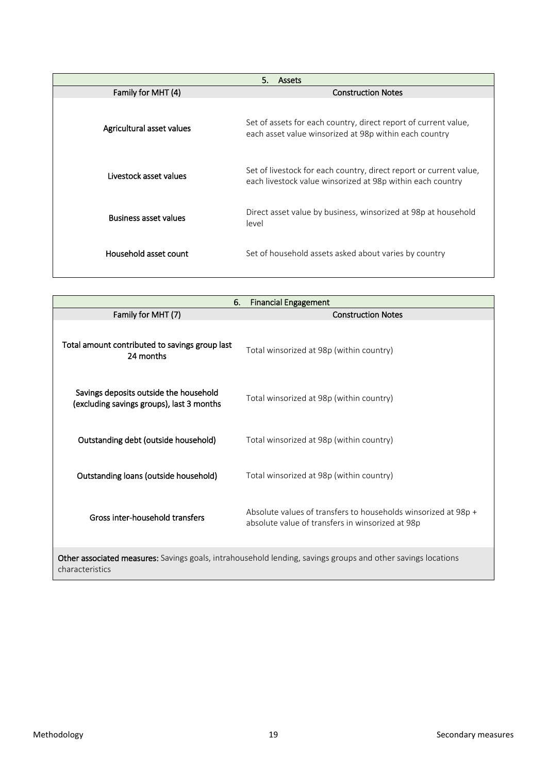| 5.<br><b>Assets</b>          |                                                                                                                                  |
|------------------------------|----------------------------------------------------------------------------------------------------------------------------------|
| Family for MHT (4)           | <b>Construction Notes</b>                                                                                                        |
| Agricultural asset values    | Set of assets for each country, direct report of current value,<br>each asset value winsorized at 98p within each country        |
| Livestock asset values       | Set of livestock for each country, direct report or current value,<br>each livestock value winsorized at 98p within each country |
| <b>Business asset values</b> | Direct asset value by business, winsorized at 98p at household<br>level                                                          |
| Household asset count        | Set of household assets asked about varies by country                                                                            |

| <b>Financial Engagement</b><br>6.                                                                                               |                                                                                                                    |
|---------------------------------------------------------------------------------------------------------------------------------|--------------------------------------------------------------------------------------------------------------------|
| Family for MHT (7)                                                                                                              | <b>Construction Notes</b>                                                                                          |
| Total amount contributed to savings group last<br>24 months                                                                     | Total winsorized at 98p (within country)                                                                           |
| Savings deposits outside the household<br>(excluding savings groups), last 3 months                                             | Total winsorized at 98p (within country)                                                                           |
| Outstanding debt (outside household)                                                                                            | Total winsorized at 98p (within country)                                                                           |
| Outstanding loans (outside household)                                                                                           | Total winsorized at 98p (within country)                                                                           |
| Gross inter-household transfers                                                                                                 | Absolute values of transfers to households winsorized at 98p +<br>absolute value of transfers in winsorized at 98p |
| Other associated measures: Savings goals, intrahousehold lending, savings groups and other savings locations<br>characteristics |                                                                                                                    |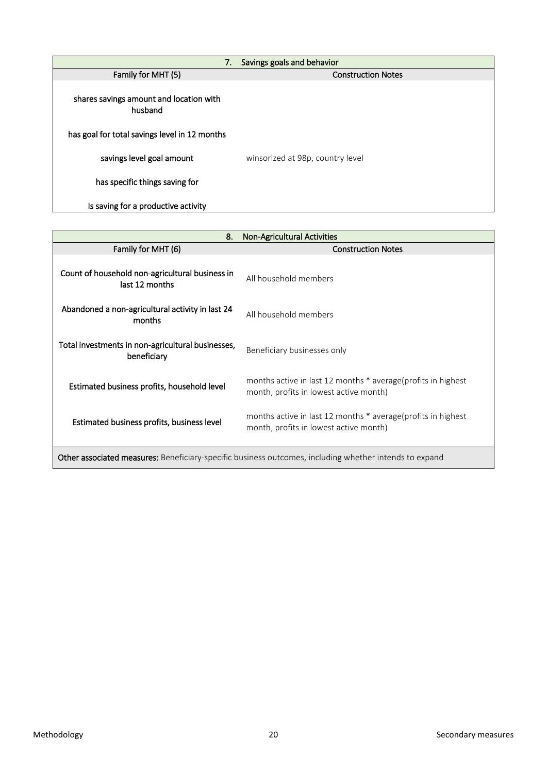| 7.                                                 | Savings goals and behavior       |
|----------------------------------------------------|----------------------------------|
| Family for MHT (5)                                 | <b>Construction Notes</b>        |
| shares savings amount and location with<br>husband |                                  |
| has goal for total savings level in 12 months      |                                  |
| savings level goal amount                          | winsorized at 98p, country level |
| has specific things saving for                     |                                  |
| Is saving for a productive activity                |                                  |

| 8.                                                                                                            | <b>Non-Agricultural Activities</b>                                                                     |
|---------------------------------------------------------------------------------------------------------------|--------------------------------------------------------------------------------------------------------|
| Family for MHT (6)                                                                                            | <b>Construction Notes</b>                                                                              |
| Count of household non-agricultural business in<br>last 12 months                                             | All household members                                                                                  |
| Abandoned a non-agricultural activity in last 24<br>months                                                    | All household members                                                                                  |
| Total investments in non-agricultural businesses,<br>beneficiary                                              | Beneficiary businesses only                                                                            |
| Estimated business profits, household level                                                                   | months active in last 12 months * average(profits in highest<br>month, profits in lowest active month) |
| Estimated business profits, business level                                                                    | months active in last 12 months * average(profits in highest<br>month, profits in lowest active month) |
| <b>Other associated measures:</b> Beneficiary-specific business outcomes, including whether intends to expand |                                                                                                        |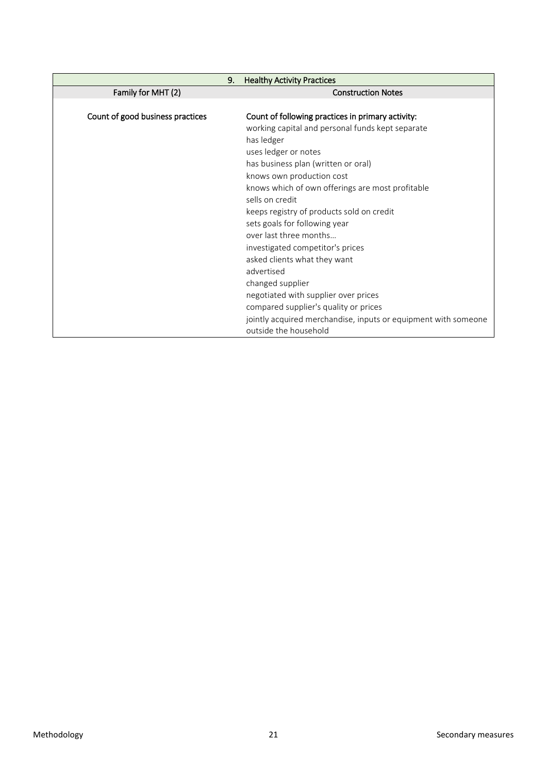| 9.                               | <b>Healthy Activity Practices</b>                                                       |
|----------------------------------|-----------------------------------------------------------------------------------------|
| Family for MHT (2)               | <b>Construction Notes</b>                                                               |
|                                  |                                                                                         |
| Count of good business practices | Count of following practices in primary activity:                                       |
|                                  | working capital and personal funds kept separate                                        |
|                                  | has ledger                                                                              |
|                                  | uses ledger or notes                                                                    |
|                                  | has business plan (written or oral)                                                     |
|                                  | knows own production cost                                                               |
|                                  | knows which of own offerings are most profitable                                        |
|                                  | sells on credit                                                                         |
|                                  | keeps registry of products sold on credit                                               |
|                                  | sets goals for following year                                                           |
|                                  | over last three months                                                                  |
|                                  | investigated competitor's prices                                                        |
|                                  | asked clients what they want                                                            |
|                                  | advertised                                                                              |
|                                  | changed supplier                                                                        |
|                                  | negotiated with supplier over prices                                                    |
|                                  | compared supplier's quality or prices                                                   |
|                                  | jointly acquired merchandise, inputs or equipment with someone<br>outside the household |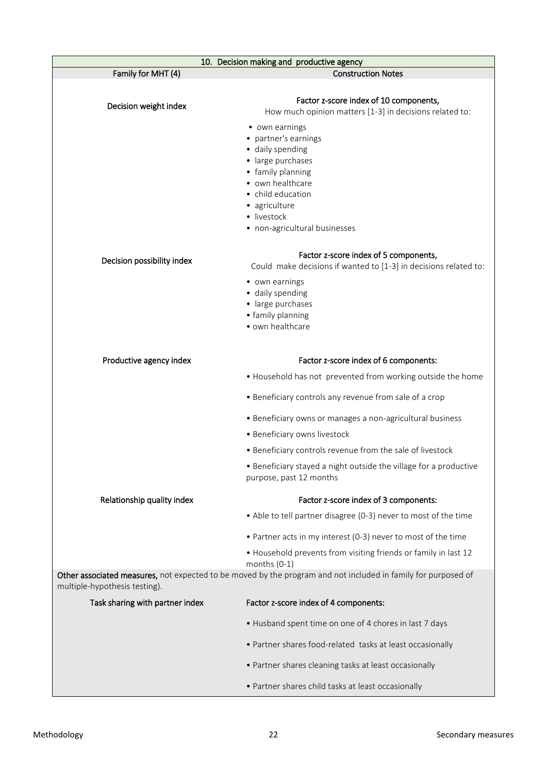|                                 | 10. Decision making and productive agency                                                                     |  |
|---------------------------------|---------------------------------------------------------------------------------------------------------------|--|
| Family for MHT (4)              | <b>Construction Notes</b>                                                                                     |  |
|                                 | Factor z-score index of 10 components,                                                                        |  |
| Decision weight index           | How much opinion matters [1-3] in decisions related to:                                                       |  |
|                                 | • own earnings                                                                                                |  |
|                                 | • partner's earnings                                                                                          |  |
|                                 | · daily spending                                                                                              |  |
|                                 | · large purchases<br>• family planning                                                                        |  |
|                                 | • own healthcare                                                                                              |  |
|                                 | • child education                                                                                             |  |
|                                 | · agriculture                                                                                                 |  |
|                                 | · livestock<br>• non-agricultural businesses                                                                  |  |
|                                 |                                                                                                               |  |
|                                 | Factor z-score index of 5 components,                                                                         |  |
| Decision possibility index      | Could make decisions if wanted to [1-3] in decisions related to:                                              |  |
|                                 | • own earnings                                                                                                |  |
|                                 | · daily spending<br>· large purchases                                                                         |  |
|                                 | • family planning                                                                                             |  |
|                                 | • own healthcare                                                                                              |  |
|                                 |                                                                                                               |  |
| Productive agency index         | Factor z-score index of 6 components:                                                                         |  |
|                                 | . Household has not prevented from working outside the home                                                   |  |
|                                 | • Beneficiary controls any revenue from sale of a crop                                                        |  |
|                                 | • Beneficiary owns or manages a non-agricultural business                                                     |  |
|                                 | • Beneficiary owns livestock                                                                                  |  |
|                                 | • Beneficiary controls revenue from the sale of livestock                                                     |  |
|                                 | • Beneficiary stayed a night outside the village for a productive<br>purpose, past 12 months                  |  |
| Relationship quality index      | Factor z-score index of 3 components:                                                                         |  |
|                                 | • Able to tell partner disagree (0-3) never to most of the time                                               |  |
|                                 | • Partner acts in my interest (0-3) never to most of the time                                                 |  |
|                                 | • Household prevents from visiting friends or family in last 12<br>months $(0-1)$                             |  |
|                                 | Other associated measures, not expected to be moved by the program and not included in family for purposed of |  |
| multiple-hypothesis testing).   |                                                                                                               |  |
| Task sharing with partner index | Factor z-score index of 4 components:                                                                         |  |
|                                 | • Husband spent time on one of 4 chores in last 7 days                                                        |  |
|                                 | • Partner shares food-related tasks at least occasionally                                                     |  |
|                                 | • Partner shares cleaning tasks at least occasionally                                                         |  |
|                                 | • Partner shares child tasks at least occasionally                                                            |  |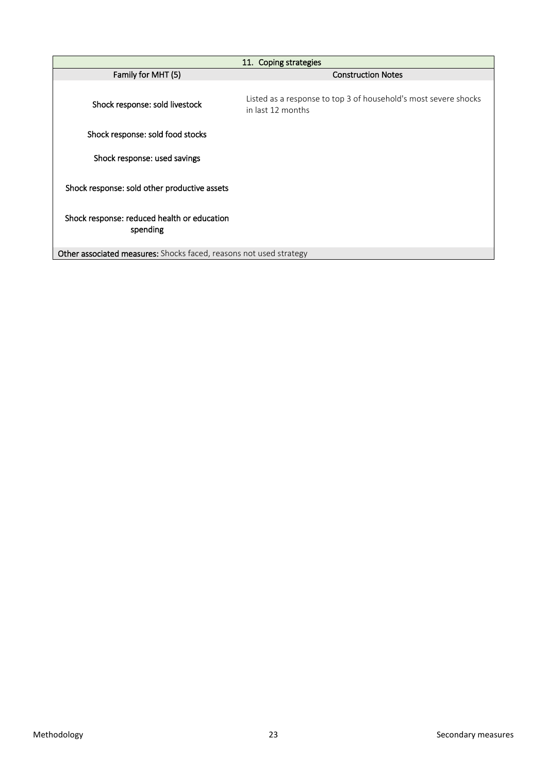| 11. Coping strategies                                              |                                                                                      |
|--------------------------------------------------------------------|--------------------------------------------------------------------------------------|
| Family for MHT (5)                                                 | <b>Construction Notes</b>                                                            |
| Shock response: sold livestock                                     | Listed as a response to top 3 of household's most severe shocks<br>in last 12 months |
| Shock response: sold food stocks                                   |                                                                                      |
| Shock response: used savings                                       |                                                                                      |
| Shock response: sold other productive assets                       |                                                                                      |
| Shock response: reduced health or education<br>spending            |                                                                                      |
| Other associated measures: Shocks faced, reasons not used strategy |                                                                                      |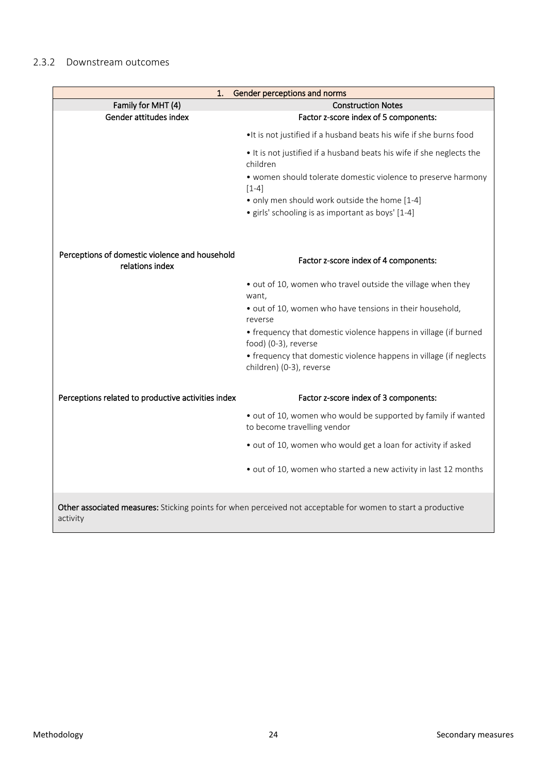<span id="page-23-0"></span>

| 1.                                                                                                                       | Gender perceptions and norms                                                                   |
|--------------------------------------------------------------------------------------------------------------------------|------------------------------------------------------------------------------------------------|
| Family for MHT (4)                                                                                                       | <b>Construction Notes</b>                                                                      |
| Gender attitudes index                                                                                                   | Factor z-score index of 5 components:                                                          |
|                                                                                                                          | . It is not justified if a husband beats his wife if she burns food                            |
|                                                                                                                          | . It is not justified if a husband beats his wife if she neglects the<br>children              |
|                                                                                                                          | • women should tolerate domestic violence to preserve harmony<br>$[1-4]$                       |
|                                                                                                                          | • only men should work outside the home [1-4]                                                  |
|                                                                                                                          | • girls' schooling is as important as boys' [1-4]                                              |
| Perceptions of domestic violence and household<br>relations index                                                        | Factor z-score index of 4 components:                                                          |
|                                                                                                                          | • out of 10, women who travel outside the village when they<br>want,                           |
|                                                                                                                          | · out of 10, women who have tensions in their household,<br>reverse                            |
|                                                                                                                          | • frequency that domestic violence happens in village (if burned<br>food) (0-3), reverse       |
|                                                                                                                          | • frequency that domestic violence happens in village (if neglects<br>children) (0-3), reverse |
| Perceptions related to productive activities index                                                                       | Factor z-score index of 3 components:                                                          |
|                                                                                                                          | • out of 10, women who would be supported by family if wanted<br>to become travelling vendor   |
|                                                                                                                          | · out of 10, women who would get a loan for activity if asked                                  |
|                                                                                                                          | • out of 10, women who started a new activity in last 12 months                                |
| Other associated measures: Sticking points for when perceived not acceptable for women to start a productive<br>activity |                                                                                                |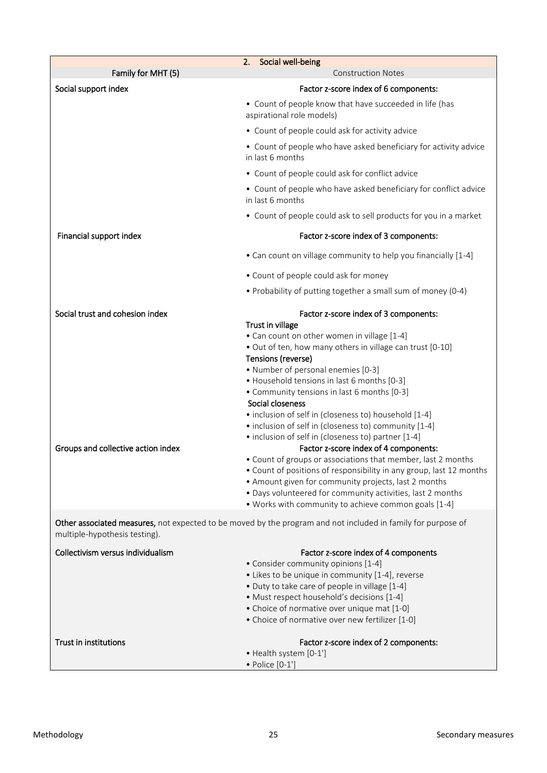| Family for MHT (5)                                                    | Social well-being<br>2.<br><b>Construction Notes</b>                                                                                                                                                                                                                                                                                                                                                                                                                                                                                                                                                                                                                                                                                                                                                                                                                                       |
|-----------------------------------------------------------------------|--------------------------------------------------------------------------------------------------------------------------------------------------------------------------------------------------------------------------------------------------------------------------------------------------------------------------------------------------------------------------------------------------------------------------------------------------------------------------------------------------------------------------------------------------------------------------------------------------------------------------------------------------------------------------------------------------------------------------------------------------------------------------------------------------------------------------------------------------------------------------------------------|
| Social support index                                                  | Factor z-score index of 6 components:                                                                                                                                                                                                                                                                                                                                                                                                                                                                                                                                                                                                                                                                                                                                                                                                                                                      |
|                                                                       | • Count of people know that have succeeded in life (has<br>aspirational role models)                                                                                                                                                                                                                                                                                                                                                                                                                                                                                                                                                                                                                                                                                                                                                                                                       |
|                                                                       | • Count of people could ask for activity advice                                                                                                                                                                                                                                                                                                                                                                                                                                                                                                                                                                                                                                                                                                                                                                                                                                            |
|                                                                       | • Count of people who have asked beneficiary for activity advice<br>in last 6 months                                                                                                                                                                                                                                                                                                                                                                                                                                                                                                                                                                                                                                                                                                                                                                                                       |
|                                                                       | • Count of people could ask for conflict advice                                                                                                                                                                                                                                                                                                                                                                                                                                                                                                                                                                                                                                                                                                                                                                                                                                            |
|                                                                       | • Count of people who have asked beneficiary for conflict advice<br>in last 6 months                                                                                                                                                                                                                                                                                                                                                                                                                                                                                                                                                                                                                                                                                                                                                                                                       |
|                                                                       | • Count of people could ask to sell products for you in a market                                                                                                                                                                                                                                                                                                                                                                                                                                                                                                                                                                                                                                                                                                                                                                                                                           |
| Financial support index                                               | Factor z-score index of 3 components:                                                                                                                                                                                                                                                                                                                                                                                                                                                                                                                                                                                                                                                                                                                                                                                                                                                      |
|                                                                       | • Can count on village community to help you financially [1-4]                                                                                                                                                                                                                                                                                                                                                                                                                                                                                                                                                                                                                                                                                                                                                                                                                             |
|                                                                       | • Count of people could ask for money                                                                                                                                                                                                                                                                                                                                                                                                                                                                                                                                                                                                                                                                                                                                                                                                                                                      |
|                                                                       | • Probability of putting together a small sum of money (0-4)                                                                                                                                                                                                                                                                                                                                                                                                                                                                                                                                                                                                                                                                                                                                                                                                                               |
| Social trust and cohesion index<br>Groups and collective action index | Factor z-score index of 3 components:<br>Trust in village<br>• Can count on other women in village [1-4]<br>. Out of ten, how many others in village can trust [0-10]<br>Tensions (reverse)<br>• Number of personal enemies [0-3]<br>• Household tensions in last 6 months [0-3]<br>• Community tensions in last 6 months [0-3]<br>Social closeness<br>• inclusion of self in (closeness to) household [1-4]<br>• inclusion of self in (closeness to) community [1-4]<br>• inclusion of self in (closeness to) partner [1-4]<br>Factor z-score index of 4 components:<br>• Count of groups or associations that member, last 2 months<br>• Count of positions of responsibility in any group, last 12 months<br>• Amount given for community projects, last 2 months<br>• Days volunteered for community activities, last 2 months<br>. Works with community to achieve common goals [1-4] |
| multiple-hypothesis testing).                                         | Other associated measures, not expected to be moved by the program and not included in family for purpose of                                                                                                                                                                                                                                                                                                                                                                                                                                                                                                                                                                                                                                                                                                                                                                               |
| Collectivism versus individualism                                     | Factor z-score index of 4 components<br>• Consider community opinions [1-4]<br>• Likes to be unique in community [1-4], reverse<br>• Duty to take care of people in village [1-4]<br>• Must respect household's decisions [1-4]<br>• Choice of normative over unique mat [1-0]<br>• Choice of normative over new fertilizer [1-0]                                                                                                                                                                                                                                                                                                                                                                                                                                                                                                                                                          |
| Trust in institutions                                                 | Factor z-score index of 2 components:<br>• Health system [0-1']<br>• Police [0-1']                                                                                                                                                                                                                                                                                                                                                                                                                                                                                                                                                                                                                                                                                                                                                                                                         |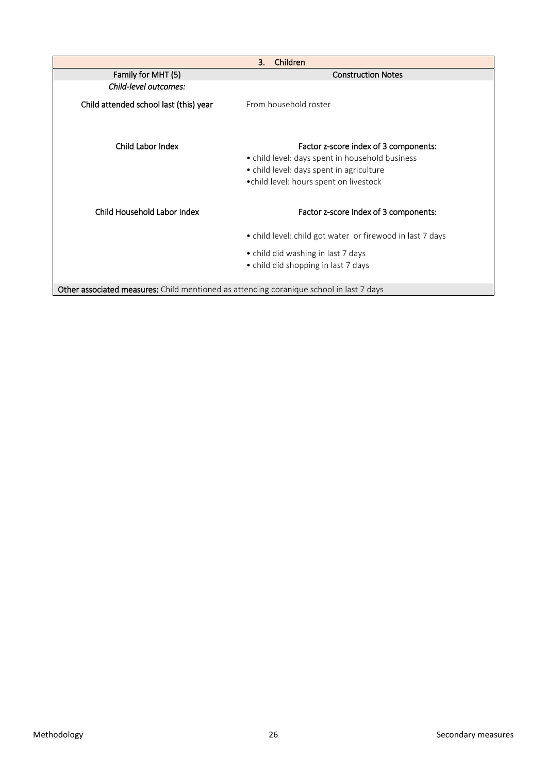|                                                                                         | 3.<br>Children                                                                                                                                                                  |
|-----------------------------------------------------------------------------------------|---------------------------------------------------------------------------------------------------------------------------------------------------------------------------------|
| Family for MHT (5)                                                                      | <b>Construction Notes</b>                                                                                                                                                       |
| Child-level outcomes:                                                                   |                                                                                                                                                                                 |
| Child attended school last (this) year                                                  | From household roster                                                                                                                                                           |
| Child Labor Index                                                                       | Factor z-score index of 3 components:<br>• child level: days spent in household business<br>• child level: days spent in agriculture<br>• child level: hours spent on livestock |
| Child Household Labor Index                                                             | Factor z-score index of 3 components:                                                                                                                                           |
|                                                                                         | • child level: child got water or firewood in last 7 days                                                                                                                       |
|                                                                                         | • child did washing in last 7 days                                                                                                                                              |
|                                                                                         | • child did shopping in last 7 days                                                                                                                                             |
| Other associated measures: Child mentioned as attending coranique school in last 7 days |                                                                                                                                                                                 |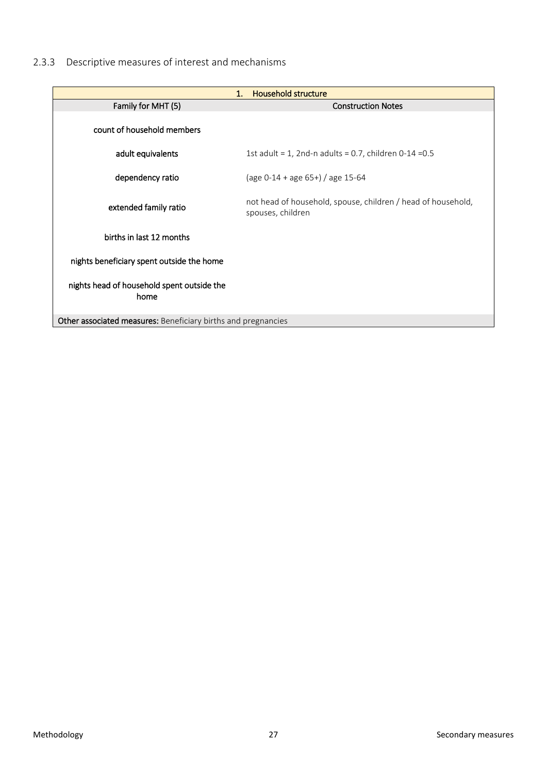# <span id="page-26-0"></span>2.3.3 Descriptive measures of interest and mechanisms

|                                                               | <b>Household structure</b><br>1.                                                  |
|---------------------------------------------------------------|-----------------------------------------------------------------------------------|
| Family for MHT (5)                                            | <b>Construction Notes</b>                                                         |
| count of household members                                    |                                                                                   |
| adult equivalents                                             | 1st adult = 1, 2nd-n adults = 0.7, children 0-14 = $0.5$                          |
| dependency ratio                                              | (age $0-14 +$ age $65+$ ) / age 15-64                                             |
| extended family ratio                                         | not head of household, spouse, children / head of household,<br>spouses, children |
| births in last 12 months                                      |                                                                                   |
| nights beneficiary spent outside the home                     |                                                                                   |
| nights head of household spent outside the<br>home            |                                                                                   |
| Other associated measures: Beneficiary births and pregnancies |                                                                                   |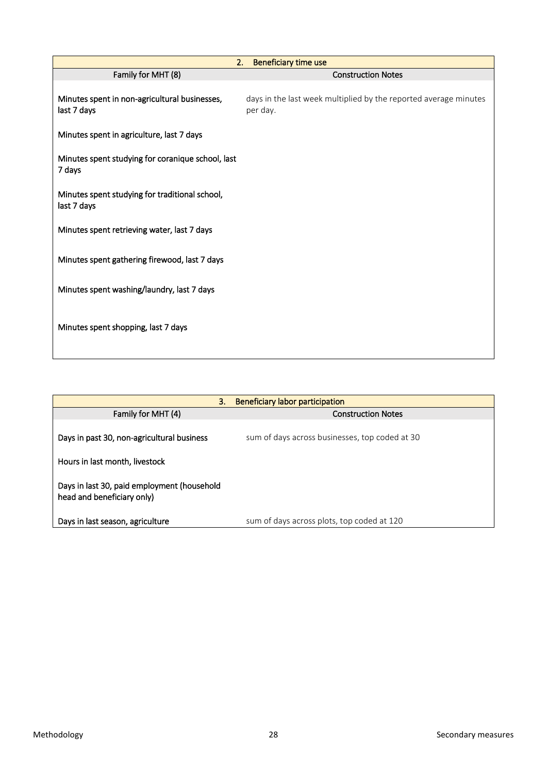| 2.                                                            | Beneficiary time use                                                         |
|---------------------------------------------------------------|------------------------------------------------------------------------------|
| Family for MHT (8)                                            | <b>Construction Notes</b>                                                    |
| Minutes spent in non-agricultural businesses,<br>last 7 days  | days in the last week multiplied by the reported average minutes<br>per day. |
| Minutes spent in agriculture, last 7 days                     |                                                                              |
| Minutes spent studying for coranique school, last<br>7 days   |                                                                              |
| Minutes spent studying for traditional school,<br>last 7 days |                                                                              |
| Minutes spent retrieving water, last 7 days                   |                                                                              |
| Minutes spent gathering firewood, last 7 days                 |                                                                              |
| Minutes spent washing/laundry, last 7 days                    |                                                                              |
| Minutes spent shopping, last 7 days                           |                                                                              |

| 3.                                                                        | Beneficiary labor participation                |
|---------------------------------------------------------------------------|------------------------------------------------|
| Family for MHT (4)                                                        | <b>Construction Notes</b>                      |
| Days in past 30, non-agricultural business                                | sum of days across businesses, top coded at 30 |
| Hours in last month, livestock                                            |                                                |
| Days in last 30, paid employment (household<br>head and beneficiary only) |                                                |
| Days in last season, agriculture                                          | sum of days across plots, top coded at 120     |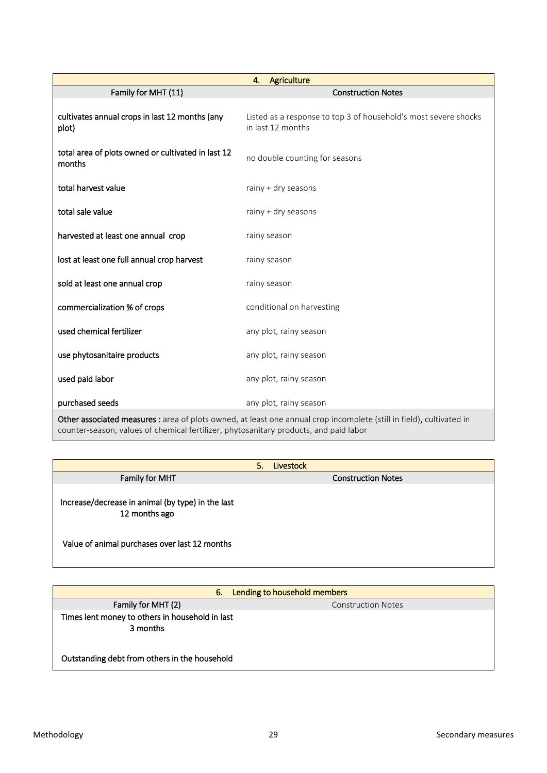|                                                              | Agriculture<br>4.                                                                                                   |
|--------------------------------------------------------------|---------------------------------------------------------------------------------------------------------------------|
| Family for MHT (11)                                          | <b>Construction Notes</b>                                                                                           |
| cultivates annual crops in last 12 months (any<br>plot)      | Listed as a response to top 3 of household's most severe shocks<br>in last 12 months                                |
| total area of plots owned or cultivated in last 12<br>months | no double counting for seasons                                                                                      |
| total harvest value                                          | rainy + dry seasons                                                                                                 |
| total sale value                                             | rainy + dry seasons                                                                                                 |
| harvested at least one annual crop                           | rainy season                                                                                                        |
| lost at least one full annual crop harvest                   | rainy season                                                                                                        |
| sold at least one annual crop                                | rainy season                                                                                                        |
| commercialization % of crops                                 | conditional on harvesting                                                                                           |
| used chemical fertilizer                                     | any plot, rainy season                                                                                              |
| use phytosanitaire products                                  | any plot, rainy season                                                                                              |
| used paid labor                                              | any plot, rainy season                                                                                              |
| purchased seeds                                              | any plot, rainy season                                                                                              |
|                                                              | Other associated measures : area of plots owned at least one annual crop incomplete (still in field), cultivated in |

**s** : area of plots owned, at least one annual crop incomplete (still in field), cultivated in counter-season, values of chemical fertilizer, phytosanitary products, and paid labor

|                                                                    | 5. | <b>Livestock</b>          |
|--------------------------------------------------------------------|----|---------------------------|
| Family for MHT                                                     |    | <b>Construction Notes</b> |
| Increase/decrease in animal (by type) in the last<br>12 months ago |    |                           |
| Value of animal purchases over last 12 months                      |    |                           |

| Lending to household members<br>6.                          |                           |
|-------------------------------------------------------------|---------------------------|
| Family for MHT (2)                                          | <b>Construction Notes</b> |
| Times lent money to others in household in last<br>3 months |                           |
| Outstanding debt from others in the household               |                           |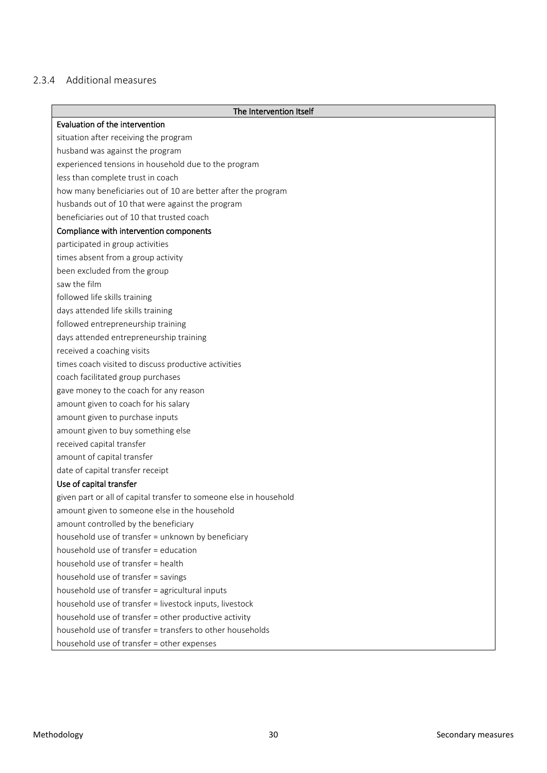# <span id="page-29-0"></span>2.3.4 Additional measures

| The Intervention Itself                                            |
|--------------------------------------------------------------------|
| Evaluation of the intervention                                     |
| situation after receiving the program                              |
| husband was against the program                                    |
| experienced tensions in household due to the program               |
| less than complete trust in coach                                  |
| how many beneficiaries out of 10 are better after the program      |
| husbands out of 10 that were against the program                   |
| beneficiaries out of 10 that trusted coach                         |
| Compliance with intervention components                            |
| participated in group activities                                   |
| times absent from a group activity                                 |
| been excluded from the group                                       |
| saw the film                                                       |
| followed life skills training                                      |
| days attended life skills training                                 |
| followed entrepreneurship training                                 |
| days attended entrepreneurship training                            |
| received a coaching visits                                         |
| times coach visited to discuss productive activities               |
| coach facilitated group purchases                                  |
| gave money to the coach for any reason                             |
| amount given to coach for his salary                               |
| amount given to purchase inputs                                    |
| amount given to buy something else                                 |
| received capital transfer                                          |
| amount of capital transfer                                         |
| date of capital transfer receipt                                   |
| Use of capital transfer                                            |
| given part or all of capital transfer to someone else in household |
| amount given to someone else in the household                      |
| amount controlled by the beneficiary                               |
| household use of transfer = unknown by beneficiary                 |
| household use of transfer = education                              |
| household use of transfer = health                                 |
| household use of transfer = savings                                |
| household use of transfer = agricultural inputs                    |
| household use of transfer = livestock inputs, livestock            |
| household use of transfer = other productive activity              |
| household use of transfer = transfers to other households          |
| household use of transfer = other expenses                         |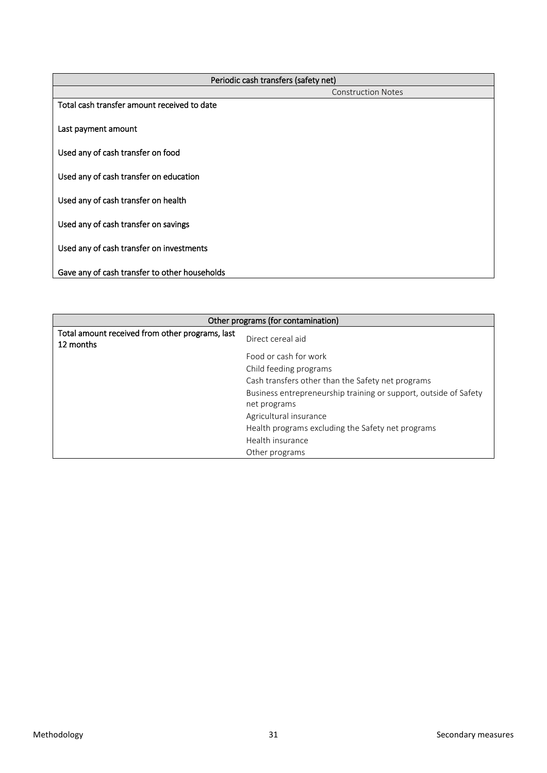| Periodic cash transfers (safety net)          |                           |
|-----------------------------------------------|---------------------------|
|                                               | <b>Construction Notes</b> |
| Total cash transfer amount received to date   |                           |
| Last payment amount                           |                           |
| Used any of cash transfer on food             |                           |
| Used any of cash transfer on education        |                           |
| Used any of cash transfer on health           |                           |
| Used any of cash transfer on savings          |                           |
| Used any of cash transfer on investments      |                           |
| Gave any of cash transfer to other households |                           |

| Other programs (for contamination)                           |                                                                  |
|--------------------------------------------------------------|------------------------------------------------------------------|
| Total amount received from other programs, last<br>12 months | Direct cereal aid                                                |
|                                                              | Food or cash for work                                            |
|                                                              | Child feeding programs                                           |
|                                                              | Cash transfers other than the Safety net programs                |
|                                                              | Business entrepreneurship training or support, outside of Safety |
|                                                              | net programs                                                     |
|                                                              | Agricultural insurance                                           |
|                                                              | Health programs excluding the Safety net programs                |
|                                                              | Health insurance                                                 |
|                                                              | Other programs                                                   |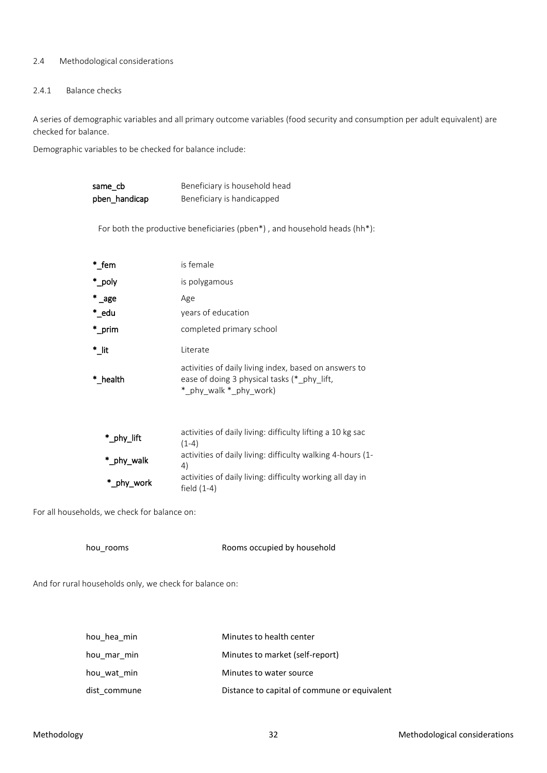#### <span id="page-31-0"></span>2.4 Methodological considerations

#### <span id="page-31-1"></span>2.4.1 Balance checks

A series of demographic variables and all primary outcome variables (food security and consumption per adult equivalent) are checked for balance.

Demographic variables to be checked for balance include:

| same cb       | Beneficiary is household head                                                                                                  |
|---------------|--------------------------------------------------------------------------------------------------------------------------------|
| pben_handicap | Beneficiary is handicapped                                                                                                     |
|               |                                                                                                                                |
|               | For both the productive beneficiaries (pben*), and household heads (hh*):                                                      |
|               |                                                                                                                                |
| $^*$ _fem     | is female                                                                                                                      |
| *_poly        | is polygamous                                                                                                                  |
| $^*$ _age     | Age                                                                                                                            |
| $^*$ _edu     | years of education                                                                                                             |
| $^*$ _prim    | completed primary school                                                                                                       |
| *_lit         | Literate                                                                                                                       |
| * health      | activities of daily living index, based on answers to<br>ease of doing 3 physical tasks (*_phy_lift,<br>*_phy_walk *_phy_work) |
|               |                                                                                                                                |
| *_phy_lift    | activities of daily living: difficulty lifting a 10 kg sac<br>$(1-4)$                                                          |
| *_phy_walk    | activities of daily living: difficulty walking 4-hours (1-<br>4)                                                               |

field (1-4)

For all households, we check for balance on:

\*\_phy\_work

hou rooms **Rooms** Rooms occupied by household

activities of daily living: difficulty working all day in

And for rural households only, we check for balance on:

| hou hea min  | Minutes to health center                     |
|--------------|----------------------------------------------|
| hou mar min  | Minutes to market (self-report)              |
| hou wat min  | Minutes to water source                      |
| dist commune | Distance to capital of commune or equivalent |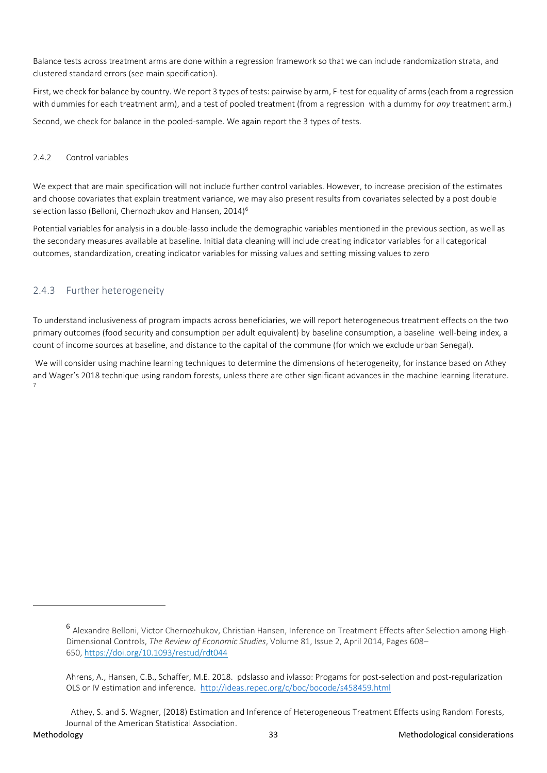Balance tests across treatment arms are done within a regression framework so that we can include randomization strata, and clustered standard errors (see main specification).

First, we check for balance by country. We report 3 types of tests: pairwise by arm, F-test for equality of arms (each from a regression with dummies for each treatment arm), and a test of pooled treatment (from a regression with a dummy for *any* treatment arm.)

Second, we check for balance in the pooled-sample. We again report the 3 types of tests.

#### <span id="page-32-0"></span>2.4.2 Control variables

We expect that are main specification will not include further control variables. However, to increase precision of the estimates and choose covariates that explain treatment variance, we may also present results from covariates selected by a post double selection lasso (Belloni, Chernozhukov and Hansen, 2014)<sup>6</sup>

Potential variables for analysis in a double-lasso include the demographic variables mentioned in the previous section, as well as the secondary measures available at baseline. Initial data cleaning will include creating indicator variables for all categorical outcomes, standardization, creating indicator variables for missing values and setting missing values to zero

# <span id="page-32-1"></span>2.4.3 Further heterogeneity

To understand inclusiveness of program impacts across beneficiaries, we will report heterogeneous treatment effects on the two primary outcomes (food security and consumption per adult equivalent) by baseline consumption, a baseline well-being index, a count of income sources at baseline, and distance to the capital of the commune (for which we exclude urban Senegal).

We will consider using machine learning techniques to determine the dimensions of heterogeneity, for instance based on Athey and Wager's 2018 technique using random forests, unless there are other significant advances in the machine learning literature. 7

1

<sup>6</sup> Alexandre Belloni, Victor Chernozhukov, Christian Hansen, Inference on Treatment Effects after Selection among High-Dimensional Controls, *The Review of Economic Studies*, Volume 81, Issue 2, April 2014, Pages 608– 650, <https://doi.org/10.1093/restud/rdt044>

Ahrens, A., Hansen, C.B., Schaffer, M.E. 2018. pdslasso and ivlasso: Progams for post-selection and post-regularization OLS or IV estimation and inference. <http://ideas.repec.org/c/boc/bocode/s458459.html>

Athey, S. and S. Wagner, (2018) Estimation and Inference of Heterogeneous Treatment Effects using Random Forests, Journal of the American Statistical Association.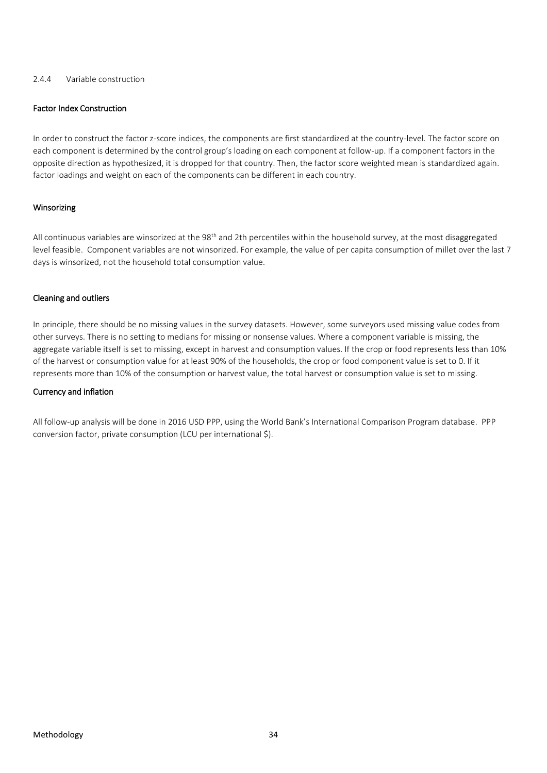#### <span id="page-33-0"></span>2.4.4 Variable construction

#### Factor Index Construction

In order to construct the factor z-score indices, the components are first standardized at the country-level. The factor score on each component is determined by the control group's loading on each component at follow-up. If a component factors in the opposite direction as hypothesized, it is dropped for that country. Then, the factor score weighted mean is standardized again. factor loadings and weight on each of the components can be different in each country.

#### Winsorizing

All continuous variables are winsorized at the 98<sup>th</sup> and 2th percentiles within the household survey, at the most disaggregated level feasible. Component variables are not winsorized. For example, the value of per capita consumption of millet over the last 7 days is winsorized, not the household total consumption value.

#### Cleaning and outliers

In principle, there should be no missing values in the survey datasets. However, some surveyors used missing value codes from other surveys. There is no setting to medians for missing or nonsense values. Where a component variable is missing, the aggregate variable itself is set to missing, except in harvest and consumption values. If the crop or food represents less than 10% of the harvest or consumption value for at least 90% of the households, the crop or food component value is set to 0. If it represents more than 10% of the consumption or harvest value, the total harvest or consumption value is set to missing.

#### Currency and inflation

All follow-up analysis will be done in 2016 USD PPP, using the World Bank's International Comparison Program database. PPP conversion factor, private consumption (LCU per international \$).